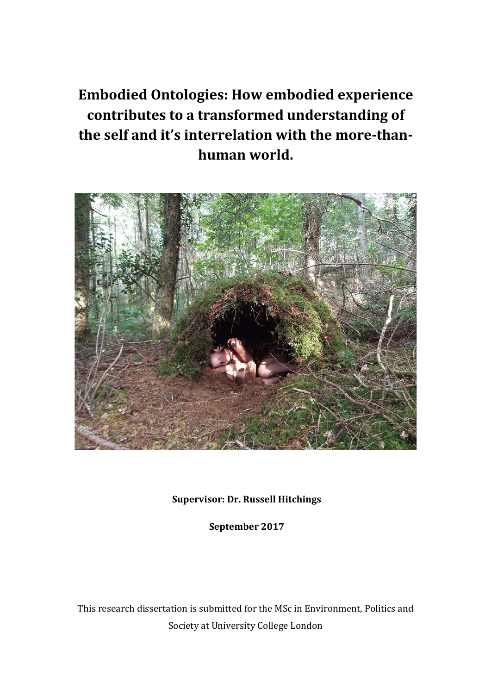# **Embodied Ontologies: How embodied experience** contributes to a transformed understanding of the self and it's interrelation with the more-than**human world.**



# **Supervisor: Dr. Russell Hitchings**

**September 2017**

This research dissertation is submitted for the MSc in Environment, Politics and Society at University College London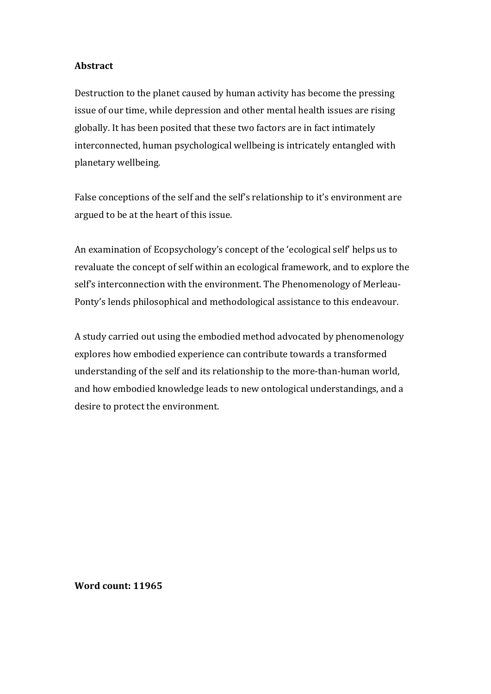# **Abstract**

Destruction to the planet caused by human activity has become the pressing issue of our time, while depression and other mental health issues are rising globally. It has been posited that these two factors are in fact intimately interconnected, human psychological wellbeing is intricately entangled with planetary wellbeing.

False conceptions of the self and the self's relationship to it's environment are argued to be at the heart of this issue.

An examination of Ecopsychology's concept of the 'ecological self' helps us to revaluate the concept of self within an ecological framework, and to explore the self's interconnection with the environment. The Phenomenology of Merleau-Ponty's lends philosophical and methodological assistance to this endeavour.

A study carried out using the embodied method advocated by phenomenology explores how embodied experience can contribute towards a transformed understanding of the self and its relationship to the more-than-human world, and how embodied knowledge leads to new ontological understandings, and a desire to protect the environment.

**Word count: 11965**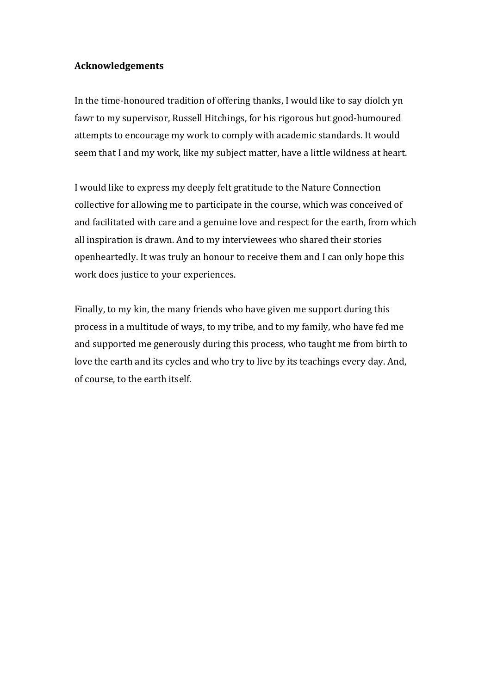# **Acknowledgements**

In the time-honoured tradition of offering thanks, I would like to say diolch yn fawr to my supervisor, Russell Hitchings, for his rigorous but good-humoured attempts to encourage my work to comply with academic standards. It would seem that I and my work, like my subject matter, have a little wildness at heart.

I would like to express my deeply felt gratitude to the Nature Connection collective for allowing me to participate in the course, which was conceived of and facilitated with care and a genuine love and respect for the earth, from which all inspiration is drawn. And to my interviewees who shared their stories openheartedly. It was truly an honour to receive them and I can only hope this work does justice to your experiences.

Finally, to my kin, the many friends who have given me support during this process in a multitude of ways, to my tribe, and to my family, who have fed me and supported me generously during this process, who taught me from birth to love the earth and its cycles and who try to live by its teachings every day. And, of course, to the earth itself.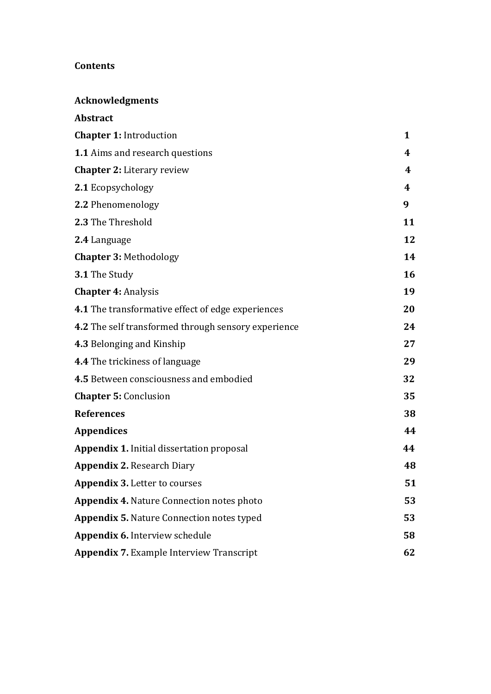# **Contents**

**Acknowledgments** 

| Abstract                                            |              |
|-----------------------------------------------------|--------------|
| <b>Chapter 1: Introduction</b>                      | $\mathbf{1}$ |
| <b>1.1</b> Aims and research questions              | 4            |
| <b>Chapter 2: Literary review</b>                   | 4            |
| 2.1 Ecopsychology                                   | 4            |
| 2.2 Phenomenology                                   | 9            |
| 2.3 The Threshold                                   | 11           |
| 2.4 Language                                        | 12           |
| <b>Chapter 3: Methodology</b>                       | 14           |
| 3.1 The Study                                       | 16           |
| <b>Chapter 4: Analysis</b>                          | 19           |
| 4.1 The transformative effect of edge experiences   | 20           |
| 4.2 The self transformed through sensory experience | 24           |
| 4.3 Belonging and Kinship                           | 27           |
| <b>4.4</b> The trickiness of language               | 29           |
| 4.5 Between consciousness and embodied              | 32           |
| <b>Chapter 5: Conclusion</b>                        | 35           |
| <b>References</b>                                   | 38           |
| Appendices                                          | 44           |
| <b>Appendix 1.</b> Initial dissertation proposal    | 44           |
| <b>Appendix 2. Research Diary</b>                   | 48           |
| <b>Appendix 3. Letter to courses</b>                | 51           |
| <b>Appendix 4. Nature Connection notes photo</b>    | 53           |
| <b>Appendix 5. Nature Connection notes typed</b>    | 53           |
| Appendix 6. Interview schedule                      | 58           |
| <b>Appendix 7. Example Interview Transcript</b>     | 62           |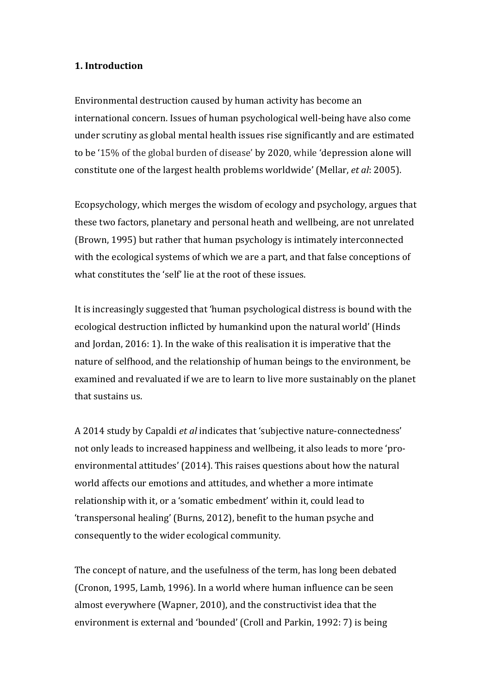#### **1. Introduction**

Environmental destruction caused by human activity has become an international concern. Issues of human psychological well-being have also come under scrutiny as global mental health issues rise significantly and are estimated to be '15% of the global burden of disease' by 2020, while 'depression alone will constitute one of the largest health problems worldwide' (Mellar, *et al*: 2005).

Ecopsychology, which merges the wisdom of ecology and psychology, argues that these two factors, planetary and personal heath and wellbeing, are not unrelated (Brown, 1995) but rather that human psychology is intimately interconnected with the ecological systems of which we are a part, and that false conceptions of what constitutes the 'self' lie at the root of these issues.

It is increasingly suggested that 'human psychological distress is bound with the ecological destruction inflicted by humankind upon the natural world' (Hinds and Jordan,  $2016: 1$ ). In the wake of this realisation it is imperative that the nature of selfhood, and the relationship of human beings to the environment, be examined and revaluated if we are to learn to live more sustainably on the planet that sustains us.

A 2014 study by Capaldi *et al* indicates that 'subjective nature-connectedness' not only leads to increased happiness and wellbeing, it also leads to more 'proenvironmental attitudes' (2014). This raises questions about how the natural world affects our emotions and attitudes, and whether a more intimate relationship with it, or a 'somatic embedment' within it, could lead to 'transpersonal healing' (Burns, 2012), benefit to the human psyche and consequently to the wider ecological community.

The concept of nature, and the usefulness of the term, has long been debated (Cronon, 1995, Lamb, 1996). In a world where human influence can be seen almost everywhere (Wapner, 2010), and the constructivist idea that the environment is external and 'bounded' (Croll and Parkin, 1992: 7) is being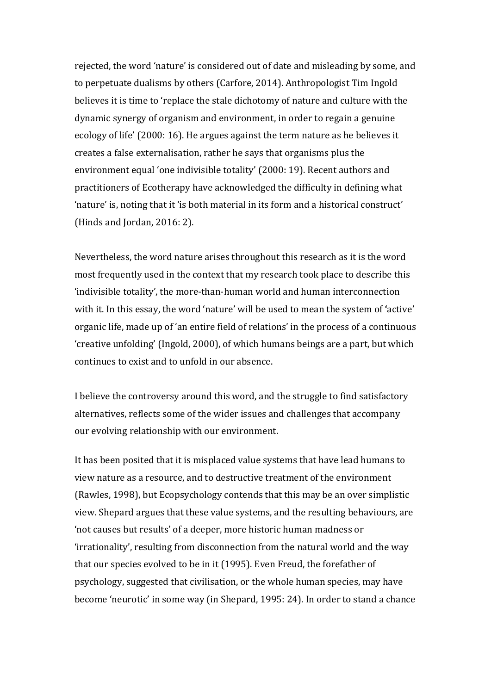rejected, the word 'nature' is considered out of date and misleading by some, and to perpetuate dualisms by others (Carfore, 2014). Anthropologist Tim Ingold believes it is time to 'replace the stale dichotomy of nature and culture with the dynamic synergy of organism and environment, in order to regain a genuine ecology of life' (2000: 16). He argues against the term nature as he believes it creates a false externalisation, rather he says that organisms plus the environment equal 'one indivisible totality' (2000: 19). Recent authors and practitioners of Ecotherapy have acknowledged the difficulty in defining what 'nature' is, noting that it 'is both material in its form and a historical construct' (Hinds and Jordan,  $2016:2$ ).

Nevertheless, the word nature arises throughout this research as it is the word most frequently used in the context that my research took place to describe this 'indivisible totality', the more-than-human world and human interconnection with it. In this essay, the word 'nature' will be used to mean the system of 'active' organic life, made up of 'an entire field of relations' in the process of a continuous 'creative unfolding' (Ingold, 2000), of which humans beings are a part, but which continues to exist and to unfold in our absence.

I believe the controversy around this word, and the struggle to find satisfactory alternatives, reflects some of the wider issues and challenges that accompany our evolving relationship with our environment.

It has been posited that it is misplaced value systems that have lead humans to view nature as a resource, and to destructive treatment of the environment (Rawles, 1998), but Ecopsychology contends that this may be an over simplistic view. Shepard argues that these value systems, and the resulting behaviours, are 'not causes but results' of a deeper, more historic human madness or 'irrationality', resulting from disconnection from the natural world and the way that our species evolved to be in it (1995). Even Freud, the forefather of psychology, suggested that civilisation, or the whole human species, may have become 'neurotic' in some way (in Shepard, 1995: 24). In order to stand a chance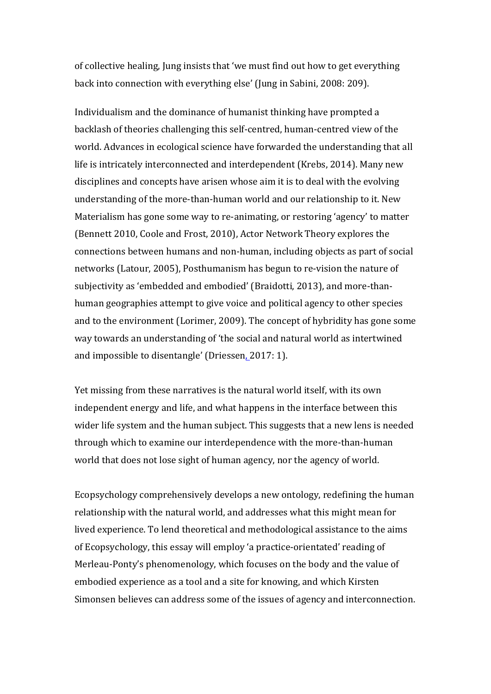of collective healing, Jung insists that 'we must find out how to get everything back into connection with everything else' (Jung in Sabini, 2008: 209).

Individualism and the dominance of humanist thinking have prompted a backlash of theories challenging this self-centred, human-centred view of the world. Advances in ecological science have forwarded the understanding that all life is intricately interconnected and interdependent (Krebs, 2014). Many new disciplines and concepts have arisen whose aim it is to deal with the evolving understanding of the more-than-human world and our relationship to it. New Materialism has gone some way to re-animating, or restoring 'agency' to matter (Bennett 2010, Coole and Frost, 2010), Actor Network Theory explores the connections between humans and non-human, including objects as part of social networks (Latour, 2005), Posthumanism has begun to re-vision the nature of subjectivity as 'embedded and embodied' (Braidotti, 2013), and more-thanhuman geographies attempt to give voice and political agency to other species and to the environment (Lorimer, 2009). The concept of hybridity has gone some way towards an understanding of 'the social and natural world as intertwined and impossible to disentangle' (Driessen, 2017: 1).

Yet missing from these narratives is the natural world itself, with its own independent energy and life, and what happens in the interface between this wider life system and the human subject. This suggests that a new lens is needed through which to examine our interdependence with the more-than-human world that does not lose sight of human agency, nor the agency of world.

Ecopsychology comprehensively develops a new ontology, redefining the human relationship with the natural world, and addresses what this might mean for lived experience. To lend theoretical and methodological assistance to the aims of Ecopsychology, this essay will employ 'a practice-orientated' reading of Merleau-Ponty's phenomenology, which focuses on the body and the value of embodied experience as a tool and a site for knowing, and which Kirsten Simonsen believes can address some of the issues of agency and interconnection.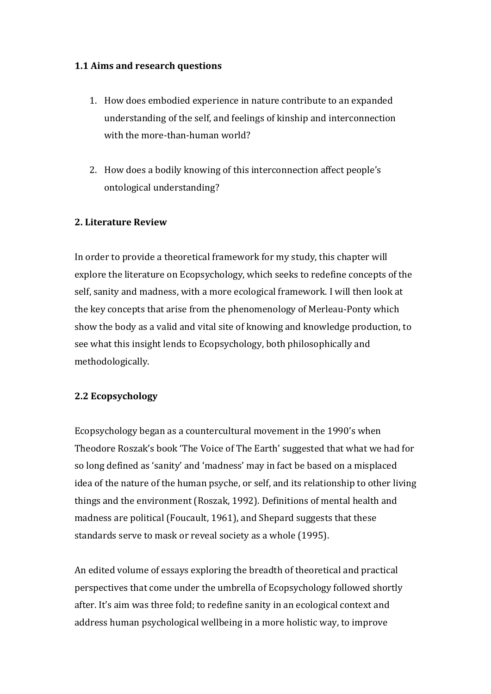# **1.1 Aims and research questions**

- 1. How does embodied experience in nature contribute to an expanded understanding of the self, and feelings of kinship and interconnection with the more-than-human world?
- 2. How does a bodily knowing of this interconnection affect people's ontological understanding?

# **2. Literature Review**

In order to provide a theoretical framework for my study, this chapter will explore the literature on Ecopsychology, which seeks to redefine concepts of the self, sanity and madness, with a more ecological framework. I will then look at the key concepts that arise from the phenomenology of Merleau-Ponty which show the body as a valid and vital site of knowing and knowledge production, to see what this insight lends to Ecopsychology, both philosophically and methodologically.

# **2.2 Ecopsychology**

Ecopsychology began as a countercultural movement in the 1990's when Theodore Roszak's book 'The Voice of The Earth' suggested that what we had for so long defined as 'sanity' and 'madness' may in fact be based on a misplaced idea of the nature of the human psyche, or self, and its relationship to other living things and the environment (Roszak, 1992). Definitions of mental health and madness are political (Foucault, 1961), and Shepard suggests that these standards serve to mask or reveal society as a whole (1995).

An edited volume of essays exploring the breadth of theoretical and practical perspectives that come under the umbrella of Ecopsychology followed shortly after. It's aim was three fold; to redefine sanity in an ecological context and address human psychological wellbeing in a more holistic way, to improve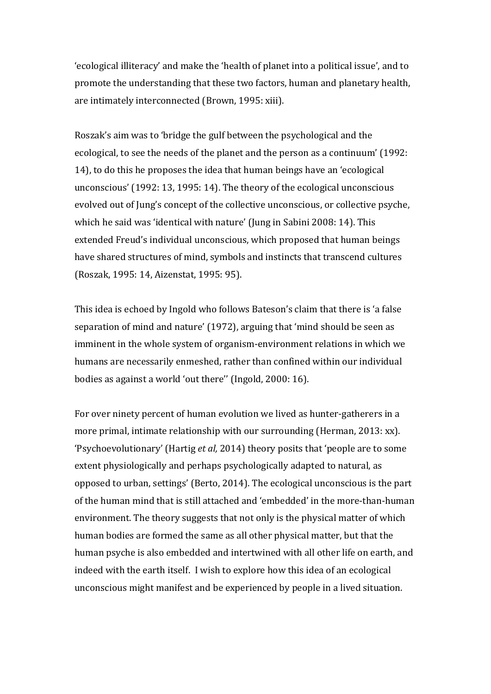'ecological illiteracy' and make the 'health of planet into a political issue', and to promote the understanding that these two factors, human and planetary health, are intimately interconnected (Brown, 1995: xiii).

Roszak's aim was to 'bridge the gulf between the psychological and the ecological, to see the needs of the planet and the person as a continuum' (1992: 14), to do this he proposes the idea that human beings have an 'ecological unconscious' (1992: 13, 1995: 14). The theory of the ecological unconscious evolved out of Jung's concept of the collective unconscious, or collective psyche, which he said was 'identical with nature' (Jung in Sabini 2008: 14). This extended Freud's individual unconscious, which proposed that human beings have shared structures of mind, symbols and instincts that transcend cultures (Roszak, 1995: 14, Aizenstat, 1995: 95).

This idea is echoed by Ingold who follows Bateson's claim that there is 'a false separation of mind and nature' (1972), arguing that 'mind should be seen as imminent in the whole system of organism-environment relations in which we humans are necessarily enmeshed, rather than confined within our individual bodies as against a world 'out there" (Ingold, 2000: 16).

For over ninety percent of human evolution we lived as hunter-gatherers in a more primal, intimate relationship with our surrounding (Herman, 2013: xx). 'Psychoevolutionary' (Hartig *et al,* 2014) theory posits that 'people are to some extent physiologically and perhaps psychologically adapted to natural, as opposed to urban, settings' (Berto, 2014). The ecological unconscious is the part of the human mind that is still attached and 'embedded' in the more-than-human environment. The theory suggests that not only is the physical matter of which human bodies are formed the same as all other physical matter, but that the human psyche is also embedded and intertwined with all other life on earth, and indeed with the earth itself. I wish to explore how this idea of an ecological unconscious might manifest and be experienced by people in a lived situation.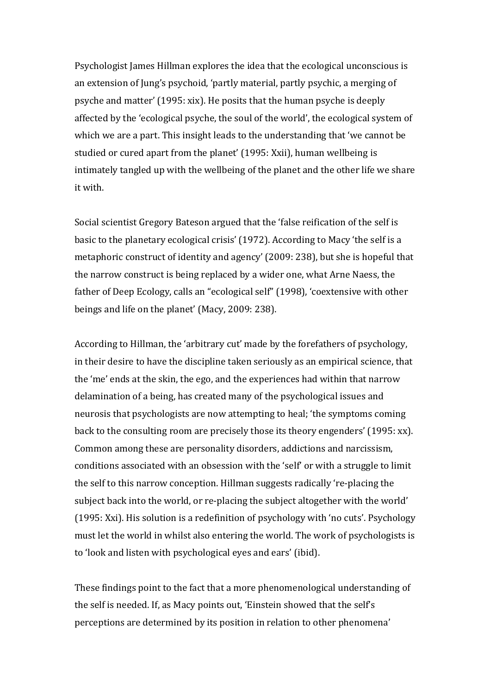Psychologist James Hillman explores the idea that the ecological unconscious is an extension of Jung's psychoid, 'partly material, partly psychic, a merging of psyche and matter'  $(1995: xix)$ . He posits that the human psyche is deeply affected by the 'ecological psyche, the soul of the world', the ecological system of which we are a part. This insight leads to the understanding that 'we cannot be studied or cured apart from the planet' (1995: Xxii), human wellbeing is intimately tangled up with the wellbeing of the planet and the other life we share it with.

Social scientist Gregory Bateson argued that the 'false reification of the self is basic to the planetary ecological crisis' (1972). According to Macy 'the self is a metaphoric construct of identity and agency' (2009: 238), but she is hopeful that the narrow construct is being replaced by a wider one, what Arne Naess, the father of Deep Ecology, calls an "ecological self" (1998), 'coextensive with other beings and life on the planet' (Macy, 2009: 238).

According to Hillman, the 'arbitrary cut' made by the forefathers of psychology, in their desire to have the discipline taken seriously as an empirical science, that the 'me' ends at the skin, the ego, and the experiences had within that narrow delamination of a being, has created many of the psychological issues and neurosis that psychologists are now attempting to heal; 'the symptoms coming back to the consulting room are precisely those its theory engenders' (1995: xx). Common among these are personality disorders, addictions and narcissism, conditions associated with an obsession with the 'self' or with a struggle to limit the self to this narrow conception. Hillman suggests radically 're-placing the subject back into the world, or re-placing the subject altogether with the world' (1995: Xxi). His solution is a redefinition of psychology with 'no cuts'. Psychology must let the world in whilst also entering the world. The work of psychologists is to 'look and listen with psychological eyes and ears' (ibid).

These findings point to the fact that a more phenomenological understanding of the self is needed. If, as Macy points out, 'Einstein showed that the self's perceptions are determined by its position in relation to other phenomena'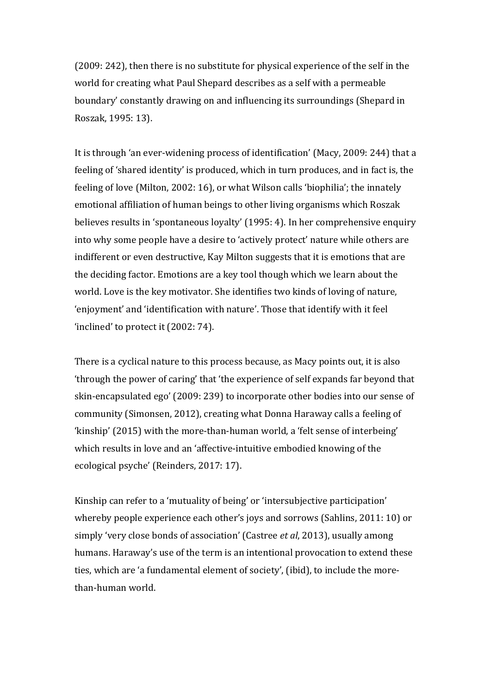(2009: 242), then there is no substitute for physical experience of the self in the world for creating what Paul Shepard describes as a self with a permeable boundary' constantly drawing on and influencing its surroundings (Shepard in Roszak, 1995: 13).

It is through 'an ever-widening process of identification' (Macy, 2009: 244) that a feeling of 'shared identity' is produced, which in turn produces, and in fact is, the feeling of love (Milton, 2002: 16), or what Wilson calls 'biophilia'; the innately emotional affiliation of human beings to other living organisms which Roszak believes results in 'spontaneous loyalty' (1995: 4). In her comprehensive enquiry into why some people have a desire to 'actively protect' nature while others are indifferent or even destructive, Kay Milton suggests that it is emotions that are the deciding factor. Emotions are a key tool though which we learn about the world. Love is the key motivator. She identifies two kinds of loving of nature, 'enjoyment' and 'identification with nature'. Those that identify with it feel 'inclined' to protect it  $(2002:74)$ .

There is a cyclical nature to this process because, as Macy points out, it is also 'through the power of caring' that 'the experience of self expands far beyond that skin-encapsulated ego' (2009: 239) to incorporate other bodies into our sense of community (Simonsen, 2012), creating what Donna Haraway calls a feeling of 'kinship' (2015) with the more-than-human world, a 'felt sense of interbeing' which results in love and an 'affective-intuitive embodied knowing of the ecological psyche' (Reinders, 2017: 17).

Kinship can refer to a 'mutuality of being' or 'intersubjective participation' whereby people experience each other's joys and sorrows (Sahlins, 2011: 10) or simply 'very close bonds of association' (Castree *et al*, 2013), usually among humans. Haraway's use of the term is an intentional provocation to extend these ties, which are 'a fundamental element of society', (ibid), to include the morethan-human world.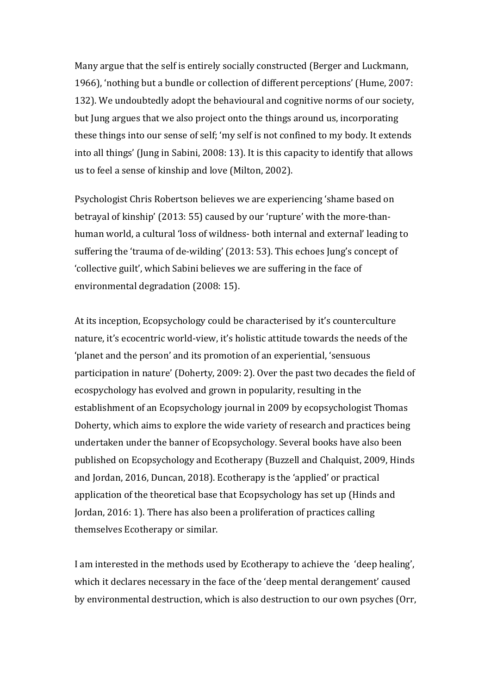Many argue that the self is entirely socially constructed (Berger and Luckmann, 1966), 'nothing but a bundle or collection of different perceptions' (Hume, 2007: 132). We undoubtedly adopt the behavioural and cognitive norms of our society, but Jung argues that we also project onto the things around us, incorporating these things into our sense of self; 'my self is not confined to my body. It extends into all things' (Jung in Sabini, 2008: 13). It is this capacity to identify that allows us to feel a sense of kinship and love (Milton, 2002).

Psychologist Chris Robertson believes we are experiencing 'shame based on betrayal of kinship' (2013: 55) caused by our 'rupture' with the more-thanhuman world, a cultural 'loss of wildness- both internal and external' leading to suffering the 'trauma of de-wilding' (2013: 53). This echoes Jung's concept of 'collective guilt', which Sabini believes we are suffering in the face of environmental degradation (2008: 15).

At its inception, Ecopsychology could be characterised by it's counterculture nature, it's ecocentric world-view, it's holistic attitude towards the needs of the 'planet and the person' and its promotion of an experiential, 'sensuous participation in nature' (Doherty, 2009: 2). Over the past two decades the field of ecospychology has evolved and grown in popularity, resulting in the establishment of an Ecopsychology journal in 2009 by ecopsychologist Thomas Doherty, which aims to explore the wide variety of research and practices being undertaken under the banner of Ecopsychology. Several books have also been published on Ecopsychology and Ecotherapy (Buzzell and Chalquist, 2009, Hinds and Jordan, 2016, Duncan, 2018). Ecotherapy is the 'applied' or practical application of the theoretical base that Ecopsychology has set up (Hinds and Jordan, 2016: 1). There has also been a proliferation of practices calling themselves Ecotherapy or similar.

I am interested in the methods used by Ecotherapy to achieve the 'deep healing', which it declares necessary in the face of the 'deep mental derangement' caused by environmental destruction, which is also destruction to our own psyches (Orr,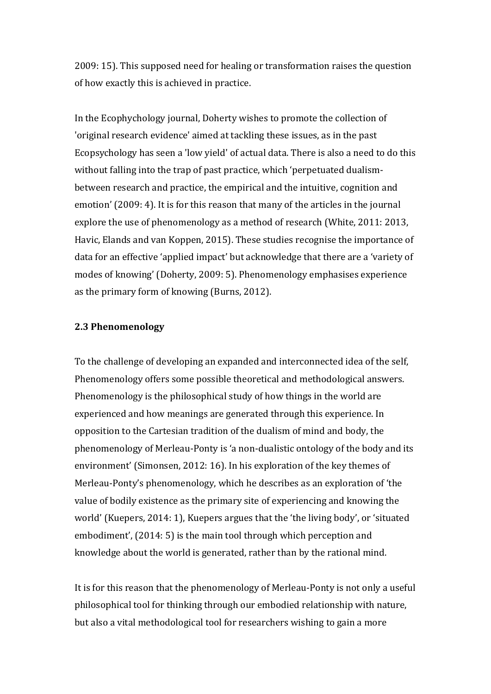2009: 15). This supposed need for healing or transformation raises the question of how exactly this is achieved in practice.

In the Ecophychology journal, Doherty wishes to promote the collection of 'original research evidence' aimed at tackling these issues, as in the past Ecopsychology has seen a 'low yield' of actual data. There is also a need to do this without falling into the trap of past practice, which 'perpetuated dualismbetween research and practice, the empirical and the intuitive, cognition and emotion' (2009: 4). It is for this reason that many of the articles in the journal explore the use of phenomenology as a method of research (White, 2011: 2013, Havic, Elands and van Koppen, 2015). These studies recognise the importance of data for an effective 'applied impact' but acknowledge that there are a 'variety of modes of knowing' (Doherty, 2009: 5). Phenomenology emphasises experience as the primary form of knowing (Burns, 2012).

#### **2.3 Phenomenology**

To the challenge of developing an expanded and interconnected idea of the self, Phenomenology offers some possible theoretical and methodological answers. Phenomenology is the philosophical study of how things in the world are experienced and how meanings are generated through this experience. In opposition to the Cartesian tradition of the dualism of mind and body, the phenomenology of Merleau-Ponty is 'a non-dualistic ontology of the body and its environment' (Simonsen, 2012: 16). In his exploration of the key themes of Merleau-Ponty's phenomenology, which he describes as an exploration of 'the value of bodily existence as the primary site of experiencing and knowing the world' (Kuepers, 2014: 1), Kuepers argues that the 'the living body', or 'situated embodiment', (2014: 5) is the main tool through which perception and knowledge about the world is generated, rather than by the rational mind.

It is for this reason that the phenomenology of Merleau-Ponty is not only a useful philosophical tool for thinking through our embodied relationship with nature, but also a vital methodological tool for researchers wishing to gain a more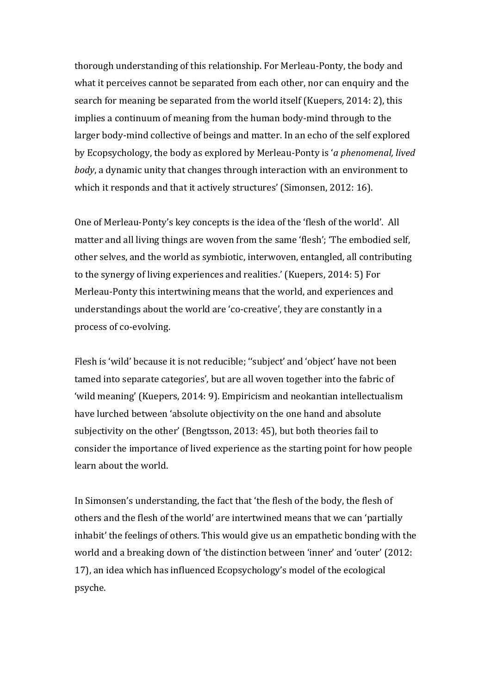thorough understanding of this relationship. For Merleau-Ponty, the body and what it perceives cannot be separated from each other, nor can enquiry and the search for meaning be separated from the world itself (Kuepers, 2014: 2), this implies a continuum of meaning from the human body-mind through to the larger body-mind collective of beings and matter. In an echo of the self explored by Ecopsychology, the body as explored by Merleau-Ponty is *'a phenomenal, lived body*, a dynamic unity that changes through interaction with an environment to which it responds and that it actively structures' (Simonsen, 2012: 16).

One of Merleau-Ponty's key concepts is the idea of the 'flesh of the world'. All matter and all living things are woven from the same 'flesh'; 'The embodied self, other selves, and the world as symbiotic, interwoven, entangled, all contributing to the synergy of living experiences and realities.' (Kuepers, 2014: 5) For Merleau-Ponty this intertwining means that the world, and experiences and understandings about the world are 'co-creative', they are constantly in a process of co-evolving.

Flesh is 'wild' because it is not reducible; "subject' and 'object' have not been tamed into separate categories', but are all woven together into the fabric of 'wild meaning' (Kuepers, 2014: 9). Empiricism and neokantian intellectualism have lurched between 'absolute objectivity on the one hand and absolute subjectivity on the other' (Bengtsson, 2013: 45), but both theories fail to consider the importance of lived experience as the starting point for how people learn about the world.

In Simonsen's understanding, the fact that 'the flesh of the body, the flesh of others and the flesh of the world' are intertwined means that we can 'partially inhabit' the feelings of others. This would give us an empathetic bonding with the world and a breaking down of 'the distinction between 'inner' and 'outer' (2012: 17), an idea which has influenced Ecopsychology's model of the ecological psyche.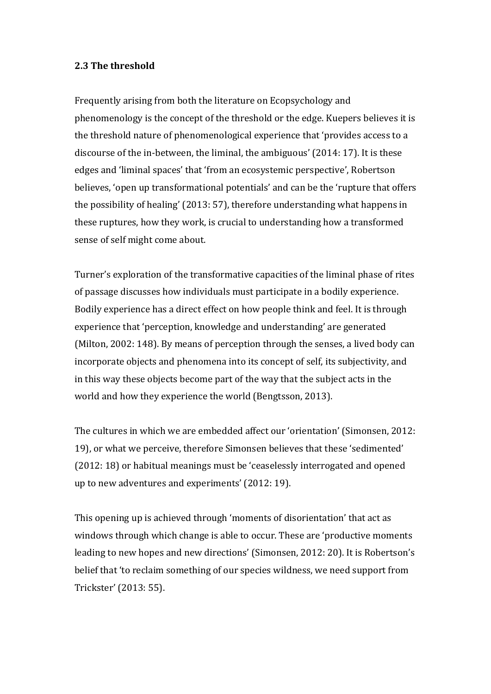#### **2.3** The threshold

Frequently arising from both the literature on Ecopsychology and phenomenology is the concept of the threshold or the edge. Kuepers believes it is the threshold nature of phenomenological experience that 'provides access to a discourse of the in-between, the liminal, the ambiguous'  $(2014:17)$ . It is these edges and 'liminal spaces' that 'from an ecosystemic perspective', Robertson believes, 'open up transformational potentials' and can be the 'rupture that offers the possibility of healing' (2013: 57), therefore understanding what happens in these ruptures, how they work, is crucial to understanding how a transformed sense of self might come about.

Turner's exploration of the transformative capacities of the liminal phase of rites of passage discusses how individuals must participate in a bodily experience. Bodily experience has a direct effect on how people think and feel. It is through experience that 'perception, knowledge and understanding' are generated (Milton, 2002: 148). By means of perception through the senses, a lived body can incorporate objects and phenomena into its concept of self, its subjectivity, and in this way these objects become part of the way that the subject acts in the world and how they experience the world (Bengtsson, 2013).

The cultures in which we are embedded affect our 'orientation' (Simonsen, 2012: 19), or what we perceive, therefore Simonsen believes that these 'sedimented' (2012: 18) or habitual meanings must be 'ceaselessly interrogated and opened up to new adventures and experiments' (2012: 19).

This opening up is achieved through 'moments of disorientation' that act as windows through which change is able to occur. These are 'productive moments leading to new hopes and new directions' (Simonsen, 2012: 20). It is Robertson's belief that 'to reclaim something of our species wildness, we need support from Trickster' (2013: 55).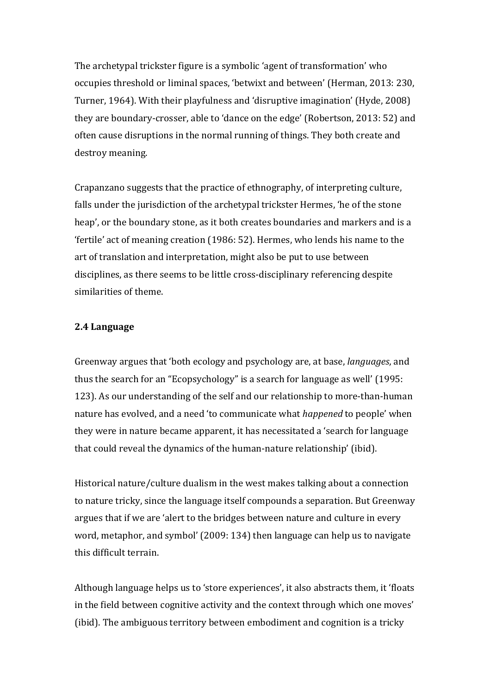The archetypal trickster figure is a symbolic 'agent of transformation' who occupies threshold or liminal spaces, 'betwixt and between' (Herman, 2013: 230, Turner, 1964). With their playfulness and 'disruptive imagination' (Hyde, 2008) they are boundary-crosser, able to 'dance on the edge' (Robertson, 2013: 52) and often cause disruptions in the normal running of things. They both create and destroy meaning.

Crapanzano suggests that the practice of ethnography, of interpreting culture, falls under the jurisdiction of the archetypal trickster Hermes, 'he of the stone heap', or the boundary stone, as it both creates boundaries and markers and is a 'fertile' act of meaning creation (1986: 52). Hermes, who lends his name to the art of translation and interpretation, might also be put to use between disciplines, as there seems to be little cross-disciplinary referencing despite similarities of theme.

#### **2.4 Language**

Greenway argues that 'both ecology and psychology are, at base, *languages*, and thus the search for an "Ecopsychology" is a search for language as well' (1995: 123). As our understanding of the self and our relationship to more-than-human nature has evolved, and a need 'to communicate what *happened* to people' when they were in nature became apparent, it has necessitated a 'search for language that could reveal the dynamics of the human-nature relationship' (ibid).

Historical nature/culture dualism in the west makes talking about a connection to nature tricky, since the language itself compounds a separation. But Greenway argues that if we are 'alert to the bridges between nature and culture in every word, metaphor, and symbol' (2009: 134) then language can help us to navigate this difficult terrain.

Although language helps us to 'store experiences', it also abstracts them, it 'floats in the field between cognitive activity and the context through which one moves' (ibid). The ambiguous territory between embodiment and cognition is a tricky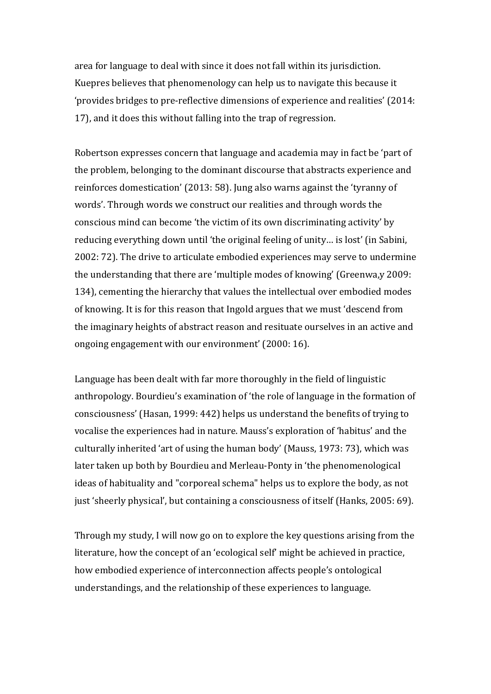area for language to deal with since it does not fall within its jurisdiction. Kuepres believes that phenomenology can help us to navigate this because it 'provides bridges to pre-reflective dimensions of experience and realities' (2014: 17), and it does this without falling into the trap of regression.

Robertson expresses concern that language and academia may in fact be 'part of the problem, belonging to the dominant discourse that abstracts experience and reinforces domestication' (2013: 58). Jung also warns against the 'tyranny of words'. Through words we construct our realities and through words the conscious mind can become 'the victim of its own discriminating activity' by reducing everything down until 'the original feeling of unity... is lost' (in Sabini, 2002: 72). The drive to articulate embodied experiences may serve to undermine the understanding that there are 'multiple modes of knowing' (Greenwa,  $y$  2009: 134), cementing the hierarchy that values the intellectual over embodied modes of knowing. It is for this reason that Ingold argues that we must 'descend from the imaginary heights of abstract reason and resituate ourselves in an active and ongoing engagement with our environment' (2000: 16).

Language has been dealt with far more thoroughly in the field of linguistic anthropology. Bourdieu's examination of 'the role of language in the formation of consciousness' (Hasan, 1999: 442) helps us understand the benefits of trying to vocalise the experiences had in nature. Mauss's exploration of 'habitus' and the culturally inherited 'art of using the human body' (Mauss, 1973: 73), which was later taken up both by Bourdieu and Merleau-Ponty in 'the phenomenological ideas of habituality and "corporeal schema" helps us to explore the body, as not just 'sheerly physical', but containing a consciousness of itself (Hanks, 2005: 69).

Through my study, I will now go on to explore the key questions arising from the literature, how the concept of an 'ecological self' might be achieved in practice, how embodied experience of interconnection affects people's ontological understandings, and the relationship of these experiences to language.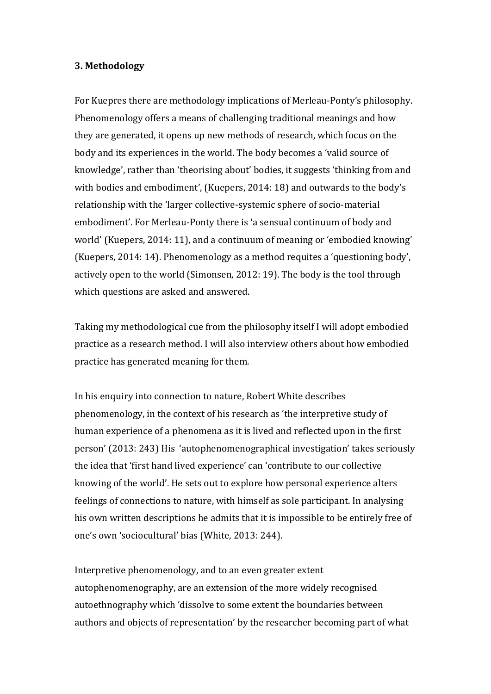#### **3. Methodology**

For Kuepres there are methodology implications of Merleau-Ponty's philosophy. Phenomenology offers a means of challenging traditional meanings and how they are generated, it opens up new methods of research, which focus on the body and its experiences in the world. The body becomes a 'valid source of knowledge', rather than 'theorising about' bodies, it suggests 'thinking from and with bodies and embodiment', (Kuepers, 2014: 18) and outwards to the body's relationship with the 'larger collective-systemic sphere of socio-material embodiment'. For Merleau-Ponty there is 'a sensual continuum of body and world' (Kuepers, 2014: 11), and a continuum of meaning or 'embodied knowing' (Kuepers, 2014: 14). Phenomenology as a method requites a 'questioning body', actively open to the world (Simonsen, 2012: 19). The body is the tool through which questions are asked and answered.

Taking my methodological cue from the philosophy itself I will adopt embodied practice as a research method. I will also interview others about how embodied practice has generated meaning for them.

In his enquiry into connection to nature, Robert White describes phenomenology, in the context of his research as 'the interpretive study of human experience of a phenomena as it is lived and reflected upon in the first person' (2013: 243) His 'autophenomenographical investigation' takes seriously the idea that 'first hand lived experience' can 'contribute to our collective knowing of the world'. He sets out to explore how personal experience alters feelings of connections to nature, with himself as sole participant. In analysing his own written descriptions he admits that it is impossible to be entirely free of one's own 'sociocultural' bias (White, 2013: 244).

Interpretive phenomenology, and to an even greater extent autophenomenography, are an extension of the more widely recognised autoethnography which 'dissolve to some extent the boundaries between authors and objects of representation' by the researcher becoming part of what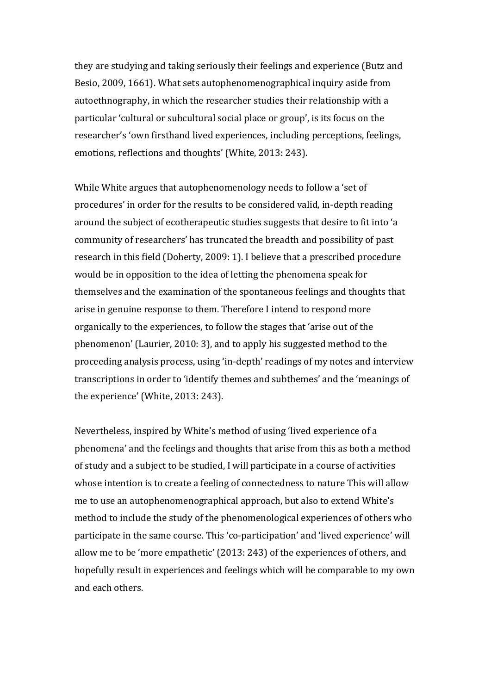they are studying and taking seriously their feelings and experience (Butz and Besio, 2009, 1661). What sets autophenomenographical inquiry aside from autoethnography, in which the researcher studies their relationship with a particular 'cultural or subcultural social place or group', is its focus on the researcher's 'own firsthand lived experiences, including perceptions, feelings, emotions, reflections and thoughts' (White, 2013: 243).

While White argues that autophenomenology needs to follow a 'set of procedures' in order for the results to be considered valid, in-depth reading around the subject of ecotherapeutic studies suggests that desire to fit into 'a community of researchers' has truncated the breadth and possibility of past research in this field (Doherty, 2009: 1). I believe that a prescribed procedure would be in opposition to the idea of letting the phenomena speak for themselves and the examination of the spontaneous feelings and thoughts that arise in genuine response to them. Therefore I intend to respond more organically to the experiences, to follow the stages that 'arise out of the phenomenon' (Laurier, 2010: 3), and to apply his suggested method to the proceeding analysis process, using 'in-depth' readings of my notes and interview transcriptions in order to 'identify themes and subthemes' and the 'meanings of the experience' (White, 2013: 243).

Nevertheless, inspired by White's method of using 'lived experience of a phenomena' and the feelings and thoughts that arise from this as both a method of study and a subject to be studied, I will participate in a course of activities whose intention is to create a feeling of connectedness to nature This will allow me to use an autophenomenographical approach, but also to extend White's method to include the study of the phenomenological experiences of others who participate in the same course. This 'co-participation' and 'lived experience' will allow me to be 'more empathetic'  $(2013:243)$  of the experiences of others, and hopefully result in experiences and feelings which will be comparable to my own and each others.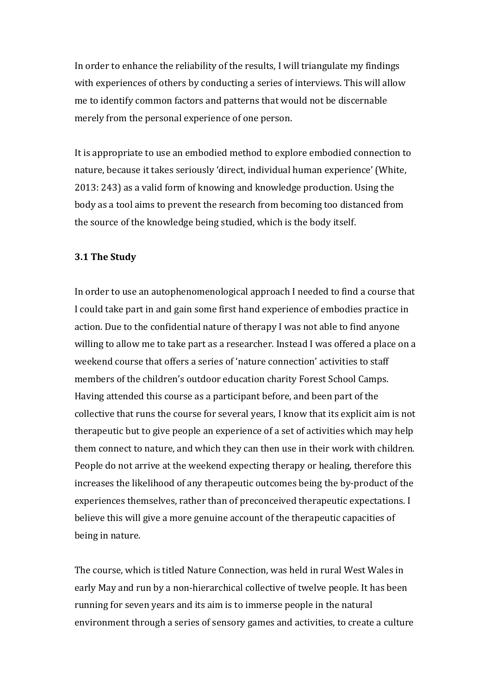In order to enhance the reliability of the results, I will triangulate my findings with experiences of others by conducting a series of interviews. This will allow me to identify common factors and patterns that would not be discernable merely from the personal experience of one person.

It is appropriate to use an embodied method to explore embodied connection to nature, because it takes seriously 'direct, individual human experience' (White, 2013: 243) as a valid form of knowing and knowledge production. Using the body as a tool aims to prevent the research from becoming too distanced from the source of the knowledge being studied, which is the body itself.

#### **3.1 The Study**

In order to use an autophenomenological approach I needed to find a course that I could take part in and gain some first hand experience of embodies practice in action. Due to the confidential nature of therapy I was not able to find anyone willing to allow me to take part as a researcher. Instead I was offered a place on a weekend course that offers a series of 'nature connection' activities to staff members of the children's outdoor education charity Forest School Camps. Having attended this course as a participant before, and been part of the collective that runs the course for several years, I know that its explicit aim is not therapeutic but to give people an experience of a set of activities which may help them connect to nature, and which they can then use in their work with children. People do not arrive at the weekend expecting therapy or healing, therefore this increases the likelihood of any therapeutic outcomes being the by-product of the experiences themselves, rather than of preconceived therapeutic expectations. I believe this will give a more genuine account of the therapeutic capacities of being in nature.

The course, which is titled Nature Connection, was held in rural West Wales in early May and run by a non-hierarchical collective of twelve people. It has been running for seven years and its aim is to immerse people in the natural environment through a series of sensory games and activities, to create a culture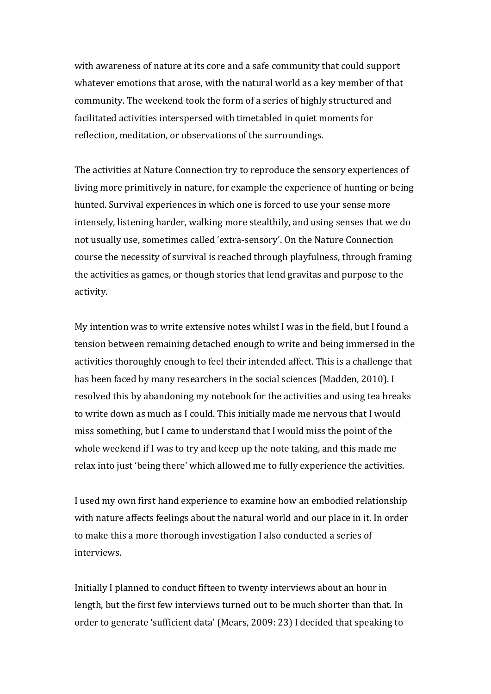with awareness of nature at its core and a safe community that could support whatever emotions that arose, with the natural world as a key member of that community. The weekend took the form of a series of highly structured and facilitated activities interspersed with timetabled in quiet moments for reflection, meditation, or observations of the surroundings.

The activities at Nature Connection try to reproduce the sensory experiences of living more primitively in nature, for example the experience of hunting or being hunted. Survival experiences in which one is forced to use your sense more intensely, listening harder, walking more stealthily, and using senses that we do not usually use, sometimes called 'extra-sensory'. On the Nature Connection course the necessity of survival is reached through playfulness, through framing the activities as games, or though stories that lend gravitas and purpose to the activity.

My intention was to write extensive notes whilst I was in the field, but I found a tension between remaining detached enough to write and being immersed in the activities thoroughly enough to feel their intended affect. This is a challenge that has been faced by many researchers in the social sciences (Madden, 2010). I resolved this by abandoning my notebook for the activities and using tea breaks to write down as much as I could. This initially made me nervous that I would miss something, but I came to understand that I would miss the point of the whole weekend if I was to try and keep up the note taking, and this made me relax into just 'being there' which allowed me to fully experience the activities.

I used my own first hand experience to examine how an embodied relationship with nature affects feelings about the natural world and our place in it. In order to make this a more thorough investigation I also conducted a series of interviews.

Initially I planned to conduct fifteen to twenty interviews about an hour in length, but the first few interviews turned out to be much shorter than that. In order to generate 'sufficient data' (Mears, 2009: 23) I decided that speaking to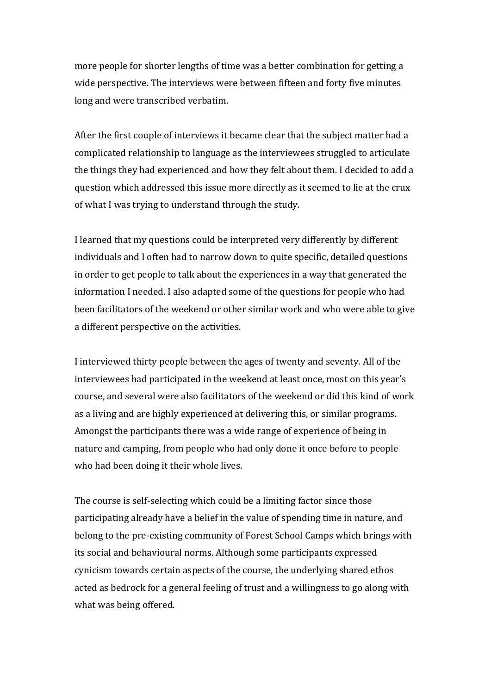more people for shorter lengths of time was a better combination for getting a wide perspective. The interviews were between fifteen and forty five minutes long and were transcribed verbatim.

After the first couple of interviews it became clear that the subject matter had a complicated relationship to language as the interviewees struggled to articulate the things they had experienced and how they felt about them. I decided to add a question which addressed this issue more directly as it seemed to lie at the crux of what I was trying to understand through the study.

I learned that my questions could be interpreted very differently by different individuals and I often had to narrow down to quite specific, detailed questions in order to get people to talk about the experiences in a way that generated the information I needed. I also adapted some of the questions for people who had been facilitators of the weekend or other similar work and who were able to give a different perspective on the activities.

I interviewed thirty people between the ages of twenty and seventy. All of the interviewees had participated in the weekend at least once, most on this year's course, and several were also facilitators of the weekend or did this kind of work as a living and are highly experienced at delivering this, or similar programs. Amongst the participants there was a wide range of experience of being in nature and camping, from people who had only done it once before to people who had been doing it their whole lives.

The course is self-selecting which could be a limiting factor since those participating already have a belief in the value of spending time in nature, and belong to the pre-existing community of Forest School Camps which brings with its social and behavioural norms. Although some participants expressed cynicism towards certain aspects of the course, the underlying shared ethos acted as bedrock for a general feeling of trust and a willingness to go along with what was being offered.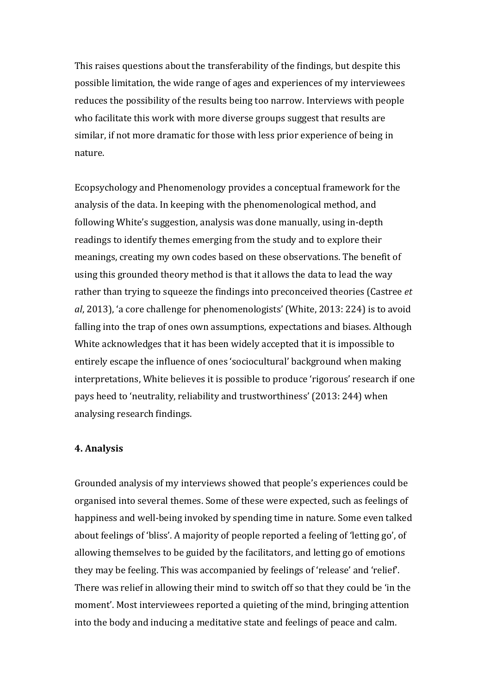This raises questions about the transferability of the findings, but despite this possible limitation, the wide range of ages and experiences of my interviewees reduces the possibility of the results being too narrow. Interviews with people who facilitate this work with more diverse groups suggest that results are similar, if not more dramatic for those with less prior experience of being in nature.

Ecopsychology and Phenomenology provides a conceptual framework for the analysis of the data. In keeping with the phenomenological method, and following White's suggestion, analysis was done manually, using in-depth readings to identify themes emerging from the study and to explore their meanings, creating my own codes based on these observations. The benefit of using this grounded theory method is that it allows the data to lead the way rather than trying to squeeze the findings into preconceived theories (Castree *et al*, 2013), 'a core challenge for phenomenologists' (White, 2013: 224) is to avoid falling into the trap of ones own assumptions, expectations and biases. Although White acknowledges that it has been widely accepted that it is impossible to entirely escape the influence of ones 'sociocultural' background when making interpretations, White believes it is possible to produce 'rigorous' research if one pays heed to 'neutrality, reliability and trustworthiness' (2013: 244) when analysing research findings.

#### **4. Analysis**

Grounded analysis of my interviews showed that people's experiences could be organised into several themes. Some of these were expected, such as feelings of happiness and well-being invoked by spending time in nature. Some even talked about feelings of 'bliss'. A majority of people reported a feeling of 'letting go', of allowing themselves to be guided by the facilitators, and letting go of emotions they may be feeling. This was accompanied by feelings of 'release' and 'relief'. There was relief in allowing their mind to switch off so that they could be 'in the moment'. Most interviewees reported a quieting of the mind, bringing attention into the body and inducing a meditative state and feelings of peace and calm.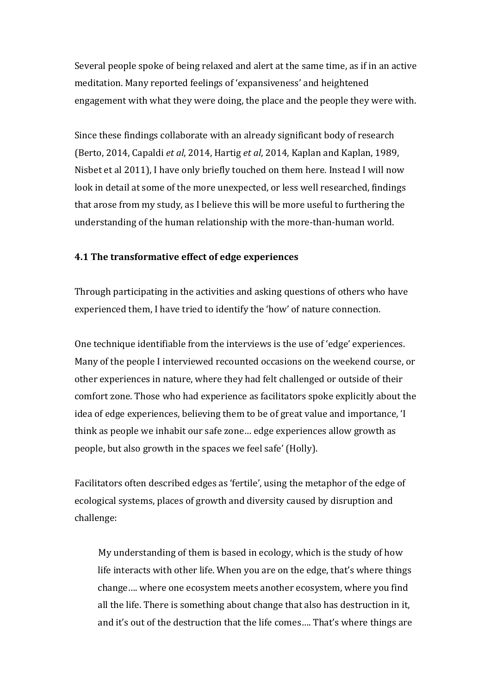Several people spoke of being relaxed and alert at the same time, as if in an active meditation. Many reported feelings of 'expansiveness' and heightened engagement with what they were doing, the place and the people they were with.

Since these findings collaborate with an already significant body of research (Berto, 2014, Capaldi *et al*, 2014, Hartig *et al*, 2014, Kaplan and Kaplan, 1989, Nisbet et al 2011), I have only briefly touched on them here. Instead I will now look in detail at some of the more unexpected, or less well researched, findings that arose from my study, as I believe this will be more useful to furthering the understanding of the human relationship with the more-than-human world.

# **4.1 The transformative effect of edge experiences**

Through participating in the activities and asking questions of others who have experienced them, I have tried to identify the 'how' of nature connection.

One technique identifiable from the interviews is the use of 'edge' experiences. Many of the people I interviewed recounted occasions on the weekend course, or other experiences in nature, where they had felt challenged or outside of their comfort zone. Those who had experience as facilitators spoke explicitly about the idea of edge experiences, believing them to be of great value and importance, 'I think as people we inhabit our safe zone... edge experiences allow growth as people, but also growth in the spaces we feel safe' (Holly).

Facilitators often described edges as 'fertile', using the metaphor of the edge of ecological systems, places of growth and diversity caused by disruption and challenge:

My understanding of them is based in ecology, which is the study of how life interacts with other life. When you are on the edge, that's where things change.... where one ecosystem meets another ecosystem, where you find all the life. There is something about change that also has destruction in it, and it's out of the destruction that the life comes.... That's where things are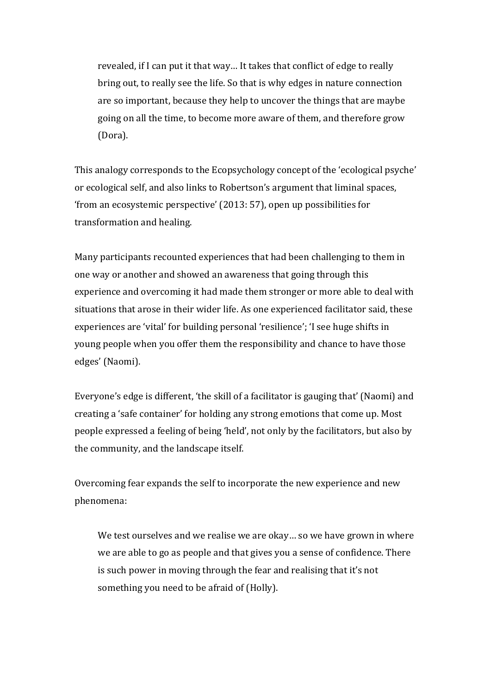revealed, if I can put it that way... It takes that conflict of edge to really bring out, to really see the life. So that is why edges in nature connection are so important, because they help to uncover the things that are maybe going on all the time, to become more aware of them, and therefore grow (Dora).

This analogy corresponds to the Ecopsychology concept of the 'ecological psyche' or ecological self, and also links to Robertson's argument that liminal spaces, 'from an ecosystemic perspective'  $(2013:57)$ , open up possibilities for transformation and healing.

Many participants recounted experiences that had been challenging to them in one way or another and showed an awareness that going through this experience and overcoming it had made them stronger or more able to deal with situations that arose in their wider life. As one experienced facilitator said, these experiences are 'vital' for building personal 'resilience'; 'I see huge shifts in young people when you offer them the responsibility and chance to have those edges' (Naomi).

Everyone's edge is different, 'the skill of a facilitator is gauging that' (Naomi) and creating a 'safe container' for holding any strong emotions that come up. Most people expressed a feeling of being 'held', not only by the facilitators, but also by the community, and the landscape itself.

Overcoming fear expands the self to incorporate the new experience and new phenomena:

We test ourselves and we realise we are okay... so we have grown in where we are able to go as people and that gives you a sense of confidence. There is such power in moving through the fear and realising that it's not something you need to be afraid of (Holly).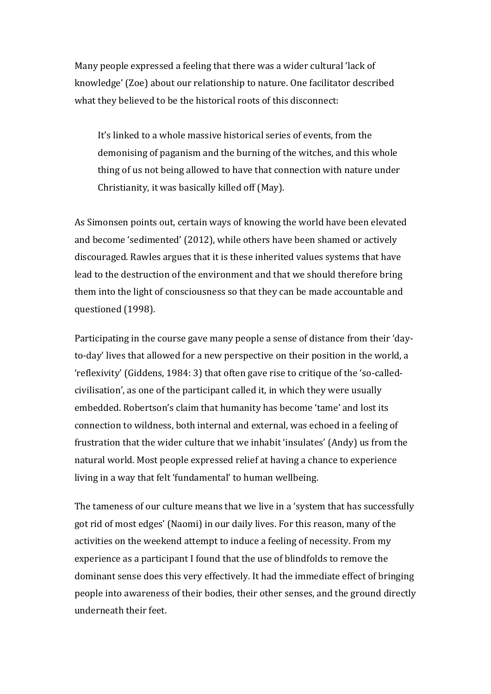Many people expressed a feeling that there was a wider cultural 'lack of knowledge' (Zoe) about our relationship to nature. One facilitator described what they believed to be the historical roots of this disconnect:

It's linked to a whole massive historical series of events, from the demonising of paganism and the burning of the witches, and this whole thing of us not being allowed to have that connection with nature under Christianity, it was basically killed off (May).

As Simonsen points out, certain ways of knowing the world have been elevated and become 'sedimented' (2012), while others have been shamed or actively discouraged. Rawles argues that it is these inherited values systems that have lead to the destruction of the environment and that we should therefore bring them into the light of consciousness so that they can be made accountable and questioned (1998).

Participating in the course gave many people a sense of distance from their 'dayto-day' lives that allowed for a new perspective on their position in the world, a 'reflexivity' (Giddens, 1984: 3) that often gave rise to critique of the 'so-calledcivilisation', as one of the participant called it, in which they were usually embedded. Robertson's claim that humanity has become 'tame' and lost its connection to wildness, both internal and external, was echoed in a feeling of frustration that the wider culture that we inhabit 'insulates' (Andy) us from the natural world. Most people expressed relief at having a chance to experience living in a way that felt 'fundamental' to human wellbeing.

The tameness of our culture means that we live in a 'system that has successfully got rid of most edges' (Naomi) in our daily lives. For this reason, many of the activities on the weekend attempt to induce a feeling of necessity. From my experience as a participant I found that the use of blindfolds to remove the dominant sense does this very effectively. It had the immediate effect of bringing people into awareness of their bodies, their other senses, and the ground directly underneath their feet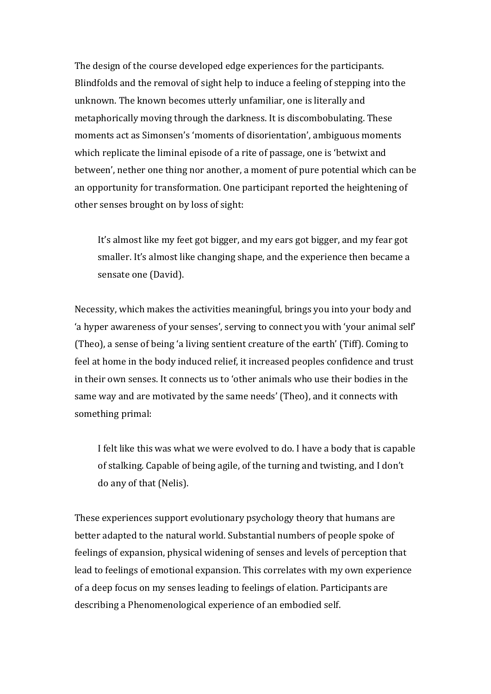The design of the course developed edge experiences for the participants. Blindfolds and the removal of sight help to induce a feeling of stepping into the unknown. The known becomes utterly unfamiliar, one is literally and metaphorically moving through the darkness. It is discombobulating. These moments act as Simonsen's 'moments of disorientation', ambiguous moments which replicate the liminal episode of a rite of passage, one is 'betwixt and between', nether one thing nor another, a moment of pure potential which can be an opportunity for transformation. One participant reported the heightening of other senses brought on by loss of sight:

It's almost like my feet got bigger, and my ears got bigger, and my fear got smaller. It's almost like changing shape, and the experience then became a sensate one (David).

Necessity, which makes the activities meaningful, brings you into your body and 'a hyper awareness of your senses', serving to connect you with 'your animal self' (Theo), a sense of being 'a living sentient creature of the earth' (Tiff). Coming to feel at home in the body induced relief, it increased peoples confidence and trust in their own senses. It connects us to 'other animals who use their bodies in the same way and are motivated by the same needs' (Theo), and it connects with something primal:

I felt like this was what we were evolved to do. I have a body that is capable of stalking. Capable of being agile, of the turning and twisting, and I don't do any of that (Nelis).

These experiences support evolutionary psychology theory that humans are better adapted to the natural world. Substantial numbers of people spoke of feelings of expansion, physical widening of senses and levels of perception that lead to feelings of emotional expansion. This correlates with my own experience of a deep focus on my senses leading to feelings of elation. Participants are describing a Phenomenological experience of an embodied self.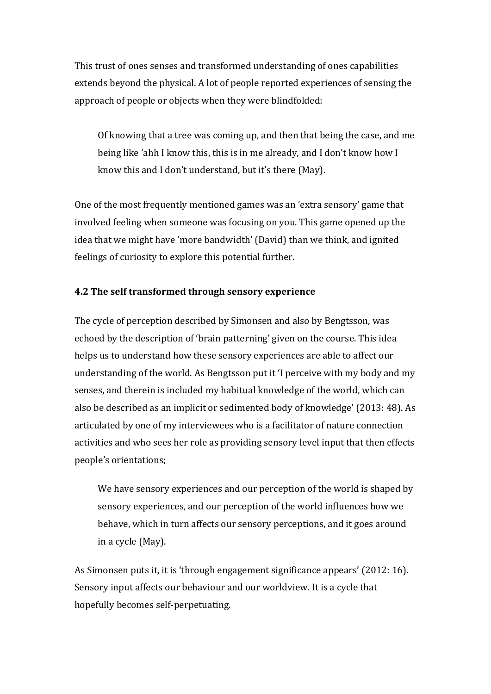This trust of ones senses and transformed understanding of ones capabilities extends beyond the physical. A lot of people reported experiences of sensing the approach of people or objects when they were blindfolded:

Of knowing that a tree was coming up, and then that being the case, and me being like 'ahh I know this, this is in me already, and I don't know how I know this and I don't understand, but it's there (May).

One of the most frequently mentioned games was an 'extra sensory' game that involved feeling when someone was focusing on you. This game opened up the idea that we might have 'more bandwidth' (David) than we think, and ignited feelings of curiosity to explore this potential further.

# **4.2** The self transformed through sensory experience

The cycle of perception described by Simonsen and also by Bengtsson, was echoed by the description of 'brain patterning' given on the course. This idea helps us to understand how these sensory experiences are able to affect our understanding of the world. As Bengtsson put it 'I perceive with my body and my senses, and therein is included my habitual knowledge of the world, which can also be described as an implicit or sedimented body of knowledge' (2013: 48). As articulated by one of my interviewees who is a facilitator of nature connection activities and who sees her role as providing sensory level input that then effects people's orientations;

We have sensory experiences and our perception of the world is shaped by sensory experiences, and our perception of the world influences how we behave, which in turn affects our sensory perceptions, and it goes around in a cycle (May).

As Simonsen puts it, it is 'through engagement significance appears' (2012: 16). Sensory input affects our behaviour and our worldview. It is a cycle that hopefully becomes self-perpetuating.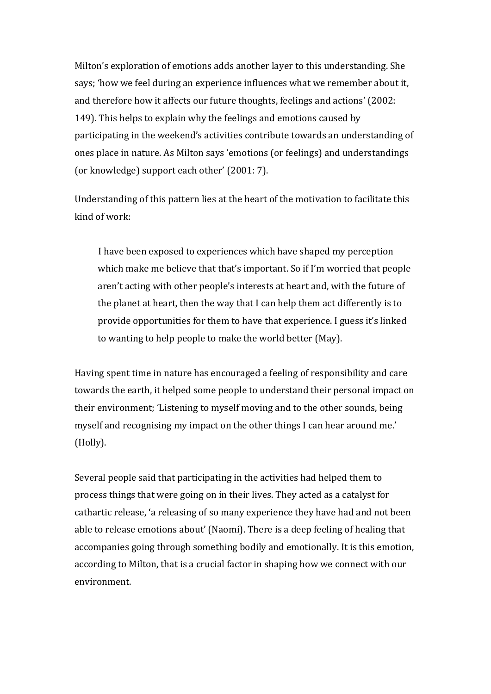Milton's exploration of emotions adds another layer to this understanding. She says; 'how we feel during an experience influences what we remember about it, and therefore how it affects our future thoughts, feelings and actions' (2002: 149). This helps to explain why the feelings and emotions caused by participating in the weekend's activities contribute towards an understanding of ones place in nature. As Milton says 'emotions (or feelings) and understandings (or knowledge) support each other' (2001: 7).

Understanding of this pattern lies at the heart of the motivation to facilitate this kind of work:

I have been exposed to experiences which have shaped my perception which make me believe that that's important. So if I'm worried that people aren't acting with other people's interests at heart and, with the future of the planet at heart, then the way that I can help them act differently is to provide opportunities for them to have that experience. I guess it's linked to wanting to help people to make the world better (May).

Having spent time in nature has encouraged a feeling of responsibility and care towards the earth, it helped some people to understand their personal impact on their environment; 'Listening to myself moving and to the other sounds, being myself and recognising my impact on the other things I can hear around me.' (Holly). 

Several people said that participating in the activities had helped them to process things that were going on in their lives. They acted as a catalyst for cathartic release, 'a releasing of so many experience they have had and not been able to release emotions about' (Naomi). There is a deep feeling of healing that accompanies going through something bodily and emotionally. It is this emotion, according to Milton, that is a crucial factor in shaping how we connect with our environment.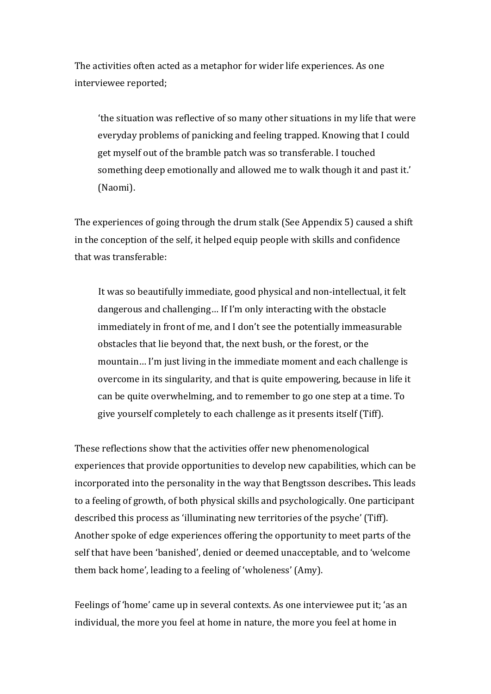The activities often acted as a metaphor for wider life experiences. As one interviewee reported;

'the situation was reflective of so many other situations in my life that were everyday problems of panicking and feeling trapped. Knowing that I could get myself out of the bramble patch was so transferable. I touched something deep emotionally and allowed me to walk though it and past it.' (Naomi). 

The experiences of going through the drum stalk (See Appendix 5) caused a shift in the conception of the self, it helped equip people with skills and confidence that was transferable:

It was so beautifully immediate, good physical and non-intellectual, it felt dangerous and challenging... If I'm only interacting with the obstacle immediately in front of me, and I don't see the potentially immeasurable obstacles that lie beyond that, the next bush, or the forest, or the mountain... I'm just living in the immediate moment and each challenge is overcome in its singularity, and that is quite empowering, because in life it can be quite overwhelming, and to remember to go one step at a time. To give yourself completely to each challenge as it presents itself (Tiff).

These reflections show that the activities offer new phenomenological experiences that provide opportunities to develop new capabilities, which can be incorporated into the personality in the way that Bengtsson describes. This leads to a feeling of growth, of both physical skills and psychologically. One participant described this process as 'illuminating new territories of the psyche' (Tiff). Another spoke of edge experiences offering the opportunity to meet parts of the self that have been 'banished', denied or deemed unacceptable, and to 'welcome them back home', leading to a feeling of 'wholeness' (Amy).

Feelings of 'home' came up in several contexts. As one interviewee put it; 'as an individual, the more you feel at home in nature, the more you feel at home in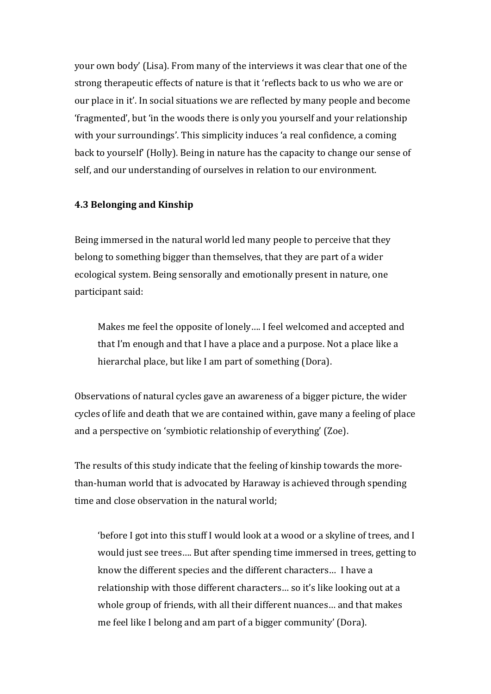your own body' (Lisa). From many of the interviews it was clear that one of the strong therapeutic effects of nature is that it 'reflects back to us who we are or our place in it'. In social situations we are reflected by many people and become 'fragmented', but 'in the woods there is only you yourself and your relationship with your surroundings'. This simplicity induces 'a real confidence, a coming back to yourself' (Holly). Being in nature has the capacity to change our sense of self, and our understanding of ourselves in relation to our environment.

#### **4.3 Belonging and Kinship**

Being immersed in the natural world led many people to perceive that they belong to something bigger than themselves, that they are part of a wider ecological system. Being sensorally and emotionally present in nature, one participant said:

Makes me feel the opposite of lonely.... I feel welcomed and accepted and that I'm enough and that I have a place and a purpose. Not a place like a hierarchal place, but like I am part of something (Dora).

Observations of natural cycles gave an awareness of a bigger picture, the wider cycles of life and death that we are contained within, gave many a feeling of place and a perspective on 'symbiotic relationship of everything' (Zoe).

The results of this study indicate that the feeling of kinship towards the morethan-human world that is advocated by Haraway is achieved through spending time and close observation in the natural world:

'before I got into this stuff I would look at a wood or a skyline of trees, and I would just see trees.... But after spending time immersed in trees, getting to know the different species and the different characters... I have a relationship with those different characters... so it's like looking out at a whole group of friends, with all their different nuances... and that makes me feel like I belong and am part of a bigger community' (Dora).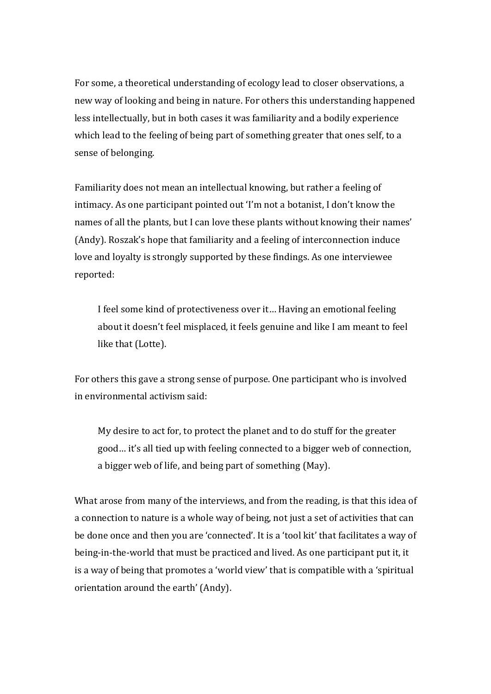For some, a theoretical understanding of ecology lead to closer observations, a new way of looking and being in nature. For others this understanding happened less intellectually, but in both cases it was familiarity and a bodily experience which lead to the feeling of being part of something greater that ones self, to a sense of belonging.

Familiarity does not mean an intellectual knowing, but rather a feeling of intimacy. As one participant pointed out 'I'm not a botanist, I don't know the names of all the plants, but I can love these plants without knowing their names' (Andy). Roszak's hope that familiarity and a feeling of interconnection induce love and loyalty is strongly supported by these findings. As one interviewee reported:

I feel some kind of protectiveness over it... Having an emotional feeling about it doesn't feel misplaced, it feels genuine and like I am meant to feel like that (Lotte).

For others this gave a strong sense of purpose. One participant who is involved in environmental activism said:

My desire to act for, to protect the planet and to do stuff for the greater good... it's all tied up with feeling connected to a bigger web of connection, a bigger web of life, and being part of something (May).

What arose from many of the interviews, and from the reading, is that this idea of a connection to nature is a whole way of being, not just a set of activities that can be done once and then you are 'connected'. It is a 'tool kit' that facilitates a way of being-in-the-world that must be practiced and lived. As one participant put it, it is a way of being that promotes a 'world view' that is compatible with a 'spiritual orientation around the earth' (Andy).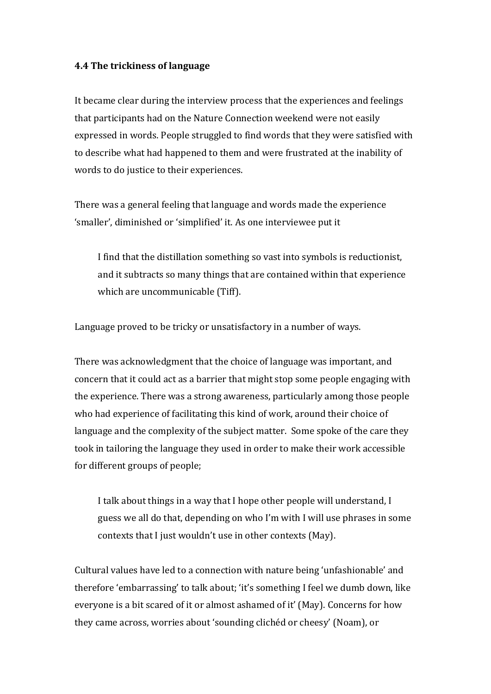#### **4.4 The trickiness of language**

It became clear during the interview process that the experiences and feelings that participants had on the Nature Connection weekend were not easily expressed in words. People struggled to find words that they were satisfied with to describe what had happened to them and were frustrated at the inability of words to do justice to their experiences.

There was a general feeling that language and words made the experience 'smaller', diminished or 'simplified' it. As one interviewee put it

I find that the distillation something so vast into symbols is reductionist, and it subtracts so many things that are contained within that experience which are uncommunicable (Tiff).

Language proved to be tricky or unsatisfactory in a number of ways.

There was acknowledgment that the choice of language was important, and concern that it could act as a barrier that might stop some people engaging with the experience. There was a strong awareness, particularly among those people who had experience of facilitating this kind of work, around their choice of language and the complexity of the subject matter. Some spoke of the care they took in tailoring the language they used in order to make their work accessible for different groups of people;

I talk about things in a way that I hope other people will understand, I guess we all do that, depending on who I'm with I will use phrases in some contexts that I just wouldn't use in other contexts (May).

Cultural values have led to a connection with nature being 'unfashionable' and therefore 'embarrassing' to talk about; 'it's something I feel we dumb down, like everyone is a bit scared of it or almost ashamed of it' (May). Concerns for how they came across, worries about 'sounding clichéd or cheesy' (Noam), or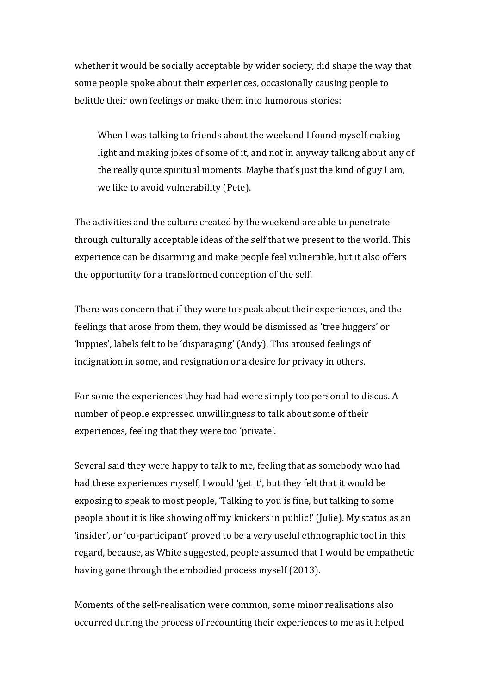whether it would be socially acceptable by wider society, did shape the way that some people spoke about their experiences, occasionally causing people to belittle their own feelings or make them into humorous stories:

When I was talking to friends about the weekend I found myself making light and making jokes of some of it, and not in anyway talking about any of the really quite spiritual moments. Maybe that's just the kind of guy I am, we like to avoid vulnerability (Pete).

The activities and the culture created by the weekend are able to penetrate through culturally acceptable ideas of the self that we present to the world. This experience can be disarming and make people feel vulnerable, but it also offers the opportunity for a transformed conception of the self.

There was concern that if they were to speak about their experiences, and the feelings that arose from them, they would be dismissed as 'tree huggers' or 'hippies', labels felt to be 'disparaging' (Andy). This aroused feelings of indignation in some, and resignation or a desire for privacy in others.

For some the experiences they had had were simply too personal to discus. A number of people expressed unwillingness to talk about some of their experiences, feeling that they were too 'private'.

Several said they were happy to talk to me, feeling that as somebody who had had these experiences myself, I would 'get it', but they felt that it would be exposing to speak to most people, 'Talking to you is fine, but talking to some people about it is like showing off my knickers in public!' (Julie). My status as an 'insider', or 'co-participant' proved to be a very useful ethnographic tool in this regard, because, as White suggested, people assumed that I would be empathetic having gone through the embodied process myself (2013).

Moments of the self-realisation were common, some minor realisations also occurred during the process of recounting their experiences to me as it helped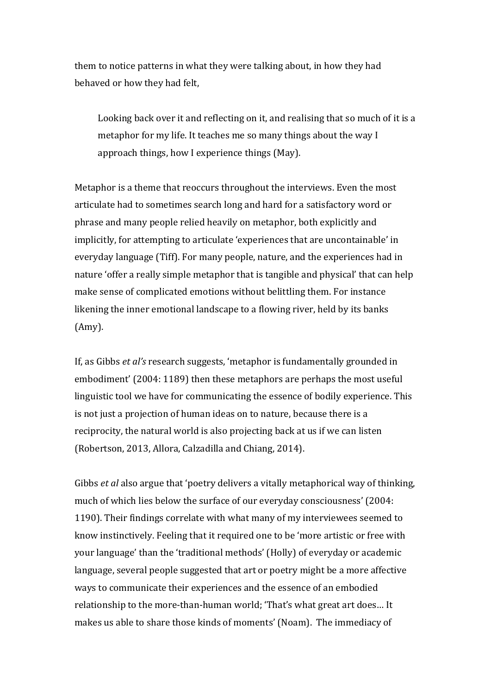them to notice patterns in what they were talking about, in how they had behaved or how they had felt.

Looking back over it and reflecting on it, and realising that so much of it is a metaphor for my life. It teaches me so many things about the way I approach things, how I experience things (May).

Metaphor is a theme that reoccurs throughout the interviews. Even the most articulate had to sometimes search long and hard for a satisfactory word or phrase and many people relied heavily on metaphor, both explicitly and implicitly, for attempting to articulate 'experiences that are uncontainable' in everyday language (Tiff). For many people, nature, and the experiences had in nature 'offer a really simple metaphor that is tangible and physical' that can help make sense of complicated emotions without belittling them. For instance likening the inner emotional landscape to a flowing river, held by its banks (Amy).

If, as Gibbs *et al's* research suggests, 'metaphor is fundamentally grounded in embodiment' (2004: 1189) then these metaphors are perhaps the most useful linguistic tool we have for communicating the essence of bodily experience. This is not just a projection of human ideas on to nature, because there is a reciprocity, the natural world is also projecting back at us if we can listen (Robertson, 2013, Allora, Calzadilla and Chiang, 2014).

Gibbs *et al* also argue that 'poetry delivers a vitally metaphorical way of thinking, much of which lies below the surface of our everyday consciousness' (2004: 1190). Their findings correlate with what many of my interviewees seemed to know instinctively. Feeling that it required one to be 'more artistic or free with your language' than the 'traditional methods' (Holly) of everyday or academic language, several people suggested that art or poetry might be a more affective ways to communicate their experiences and the essence of an embodied relationship to the more-than-human world; 'That's what great art does... It makes us able to share those kinds of moments' (Noam). The immediacy of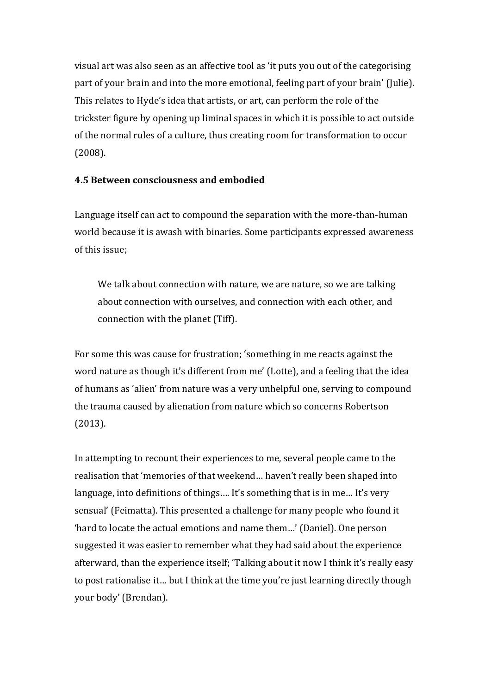visual art was also seen as an affective tool as 'it puts you out of the categorising part of your brain and into the more emotional, feeling part of your brain' (Julie). This relates to Hyde's idea that artists, or art, can perform the role of the trickster figure by opening up liminal spaces in which it is possible to act outside of the normal rules of a culture, thus creating room for transformation to occur (2008).

#### **4.5 Between consciousness and embodied**

Language itself can act to compound the separation with the more-than-human world because it is awash with binaries. Some participants expressed awareness of this issue:

We talk about connection with nature, we are nature, so we are talking about connection with ourselves, and connection with each other, and connection with the planet (Tiff).

For some this was cause for frustration; 'something in me reacts against the word nature as though it's different from me' (Lotte), and a feeling that the idea of humans as 'alien' from nature was a very unhelpful one, serving to compound the trauma caused by alienation from nature which so concerns Robertson (2013).

In attempting to recount their experiences to me, several people came to the realisation that 'memories of that weekend... haven't really been shaped into language, into definitions of things.... It's something that is in me... It's very sensual' (Feimatta). This presented a challenge for many people who found it 'hard to locate the actual emotions and name them...' (Daniel). One person suggested it was easier to remember what they had said about the experience afterward, than the experience itself; 'Talking about it now I think it's really easy to post rationalise it... but I think at the time you're just learning directly though your body' (Brendan).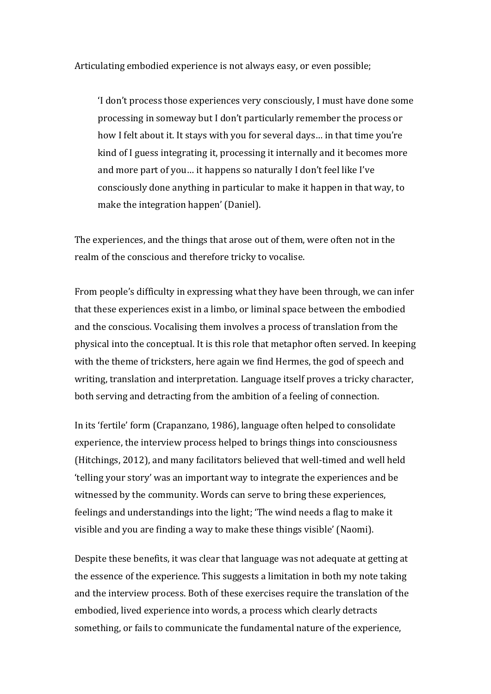Articulating embodied experience is not always easy, or even possible;

'I don't process those experiences very consciously, I must have done some processing in someway but I don't particularly remember the process or how I felt about it. It stays with you for several days... in that time you're kind of I guess integrating it, processing it internally and it becomes more and more part of you... it happens so naturally I don't feel like I've consciously done anything in particular to make it happen in that way, to make the integration happen' (Daniel).

The experiences, and the things that arose out of them, were often not in the realm of the conscious and therefore tricky to vocalise.

From people's difficulty in expressing what they have been through, we can infer that these experiences exist in a limbo, or liminal space between the embodied and the conscious. Vocalising them involves a process of translation from the physical into the conceptual. It is this role that metaphor often served. In keeping with the theme of tricksters, here again we find Hermes, the god of speech and writing, translation and interpretation. Language itself proves a tricky character, both serving and detracting from the ambition of a feeling of connection.

In its 'fertile' form (Crapanzano, 1986), language often helped to consolidate experience, the interview process helped to brings things into consciousness (Hitchings, 2012), and many facilitators believed that well-timed and well held 'telling your story' was an important way to integrate the experiences and be witnessed by the community. Words can serve to bring these experiences, feelings and understandings into the light; 'The wind needs a flag to make it visible and you are finding a way to make these things visible' (Naomi).

Despite these benefits, it was clear that language was not adequate at getting at the essence of the experience. This suggests a limitation in both my note taking and the interview process. Both of these exercises require the translation of the embodied, lived experience into words, a process which clearly detracts something, or fails to communicate the fundamental nature of the experience,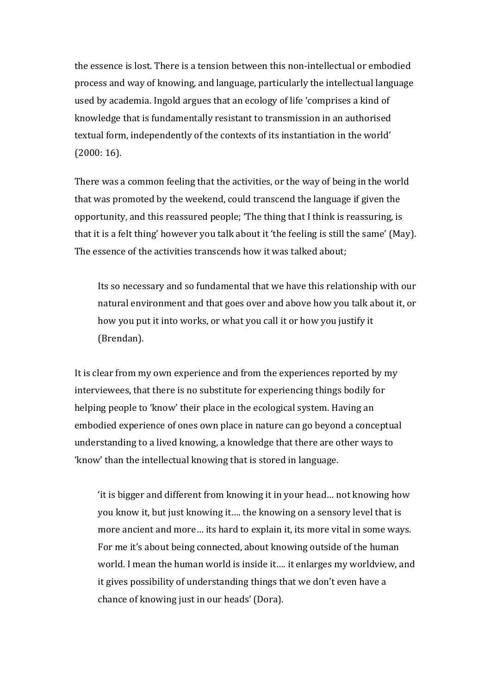the essence is lost. There is a tension between this non-intellectual or embodied process and way of knowing, and language, particularly the intellectual language used by academia. Ingold argues that an ecology of life 'comprises a kind of knowledge that is fundamentally resistant to transmission in an authorised textual form, independently of the contexts of its instantiation in the world'  $(2000:16)$ .

There was a common feeling that the activities, or the way of being in the world that was promoted by the weekend, could transcend the language if given the opportunity, and this reassured people; 'The thing that I think is reassuring, is that it is a felt thing' however you talk about it 'the feeling is still the same' (May). The essence of the activities transcends how it was talked about;

Its so necessary and so fundamental that we have this relationship with our natural environment and that goes over and above how you talk about it, or how you put it into works, or what you call it or how you justify it (Brendan). 

It is clear from my own experience and from the experiences reported by my interviewees, that there is no substitute for experiencing things bodily for helping people to 'know' their place in the ecological system. Having an embodied experience of ones own place in nature can go beyond a conceptual understanding to a lived knowing, a knowledge that there are other ways to 'know' than the intellectual knowing that is stored in language.

'it is bigger and different from knowing it in your head... not knowing how you know it, but just knowing it.... the knowing on a sensory level that is more ancient and more... its hard to explain it, its more vital in some ways. For me it's about being connected, about knowing outside of the human world. I mean the human world is inside it.... it enlarges my worldview, and it gives possibility of understanding things that we don't even have a chance of knowing just in our heads' (Dora).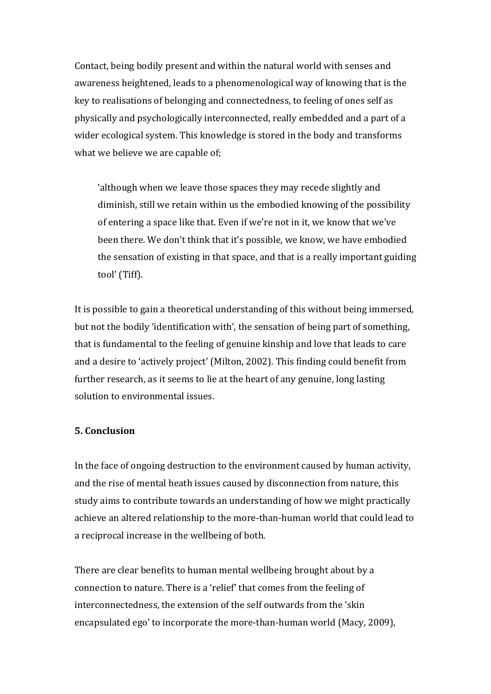Contact, being bodily present and within the natural world with senses and awareness heightened, leads to a phenomenological way of knowing that is the key to realisations of belonging and connectedness, to feeling of ones self as physically and psychologically interconnected, really embedded and a part of a wider ecological system. This knowledge is stored in the body and transforms what we believe we are capable of;

'although when we leave those spaces they may recede slightly and diminish, still we retain within us the embodied knowing of the possibility of entering a space like that. Even if we're not in it, we know that we've been there. We don't think that it's possible, we know, we have embodied the sensation of existing in that space, and that is a really important guiding tool' (Tiff).

It is possible to gain a theoretical understanding of this without being immersed, but not the bodily 'identification with', the sensation of being part of something, that is fundamental to the feeling of genuine kinship and love that leads to care and a desire to 'actively project' (Milton, 2002). This finding could benefit from further research, as it seems to lie at the heart of any genuine, long lasting solution to environmental issues.

#### **5. Conclusion**

In the face of ongoing destruction to the environment caused by human activity, and the rise of mental heath issues caused by disconnection from nature, this study aims to contribute towards an understanding of how we might practically achieve an altered relationship to the more-than-human world that could lead to a reciprocal increase in the wellbeing of both.

There are clear benefits to human mental wellbeing brought about by a connection to nature. There is a 'relief' that comes from the feeling of interconnectedness, the extension of the self outwards from the 'skin encapsulated ego' to incorporate the more-than-human world (Macy, 2009),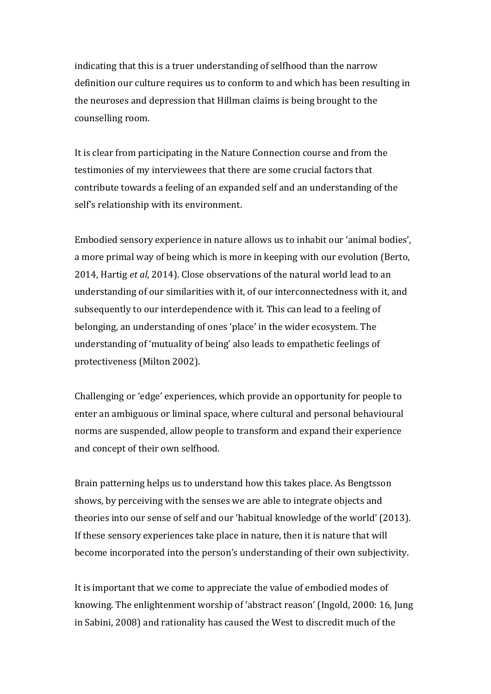indicating that this is a truer understanding of selfhood than the narrow definition our culture requires us to conform to and which has been resulting in the neuroses and depression that Hillman claims is being brought to the counselling room.

It is clear from participating in the Nature Connection course and from the testimonies of my interviewees that there are some crucial factors that contribute towards a feeling of an expanded self and an understanding of the self's relationship with its environment.

Embodied sensory experience in nature allows us to inhabit our 'animal bodies', a more primal way of being which is more in keeping with our evolution (Berto, 2014, Hartig *et al*, 2014). Close observations of the natural world lead to an understanding of our similarities with it, of our interconnectedness with it, and subsequently to our interdependence with it. This can lead to a feeling of belonging, an understanding of ones 'place' in the wider ecosystem. The understanding of 'mutuality of being' also leads to empathetic feelings of protectiveness (Milton 2002).

Challenging or 'edge' experiences, which provide an opportunity for people to enter an ambiguous or liminal space, where cultural and personal behavioural norms are suspended, allow people to transform and expand their experience and concept of their own selfhood.

Brain patterning helps us to understand how this takes place. As Bengtsson shows, by perceiving with the senses we are able to integrate objects and theories into our sense of self and our 'habitual knowledge of the world' (2013). If these sensory experiences take place in nature, then it is nature that will become incorporated into the person's understanding of their own subjectivity.

It is important that we come to appreciate the value of embodied modes of knowing. The enlightenment worship of 'abstract reason' (Ingold, 2000: 16, Jung in Sabini, 2008) and rationality has caused the West to discredit much of the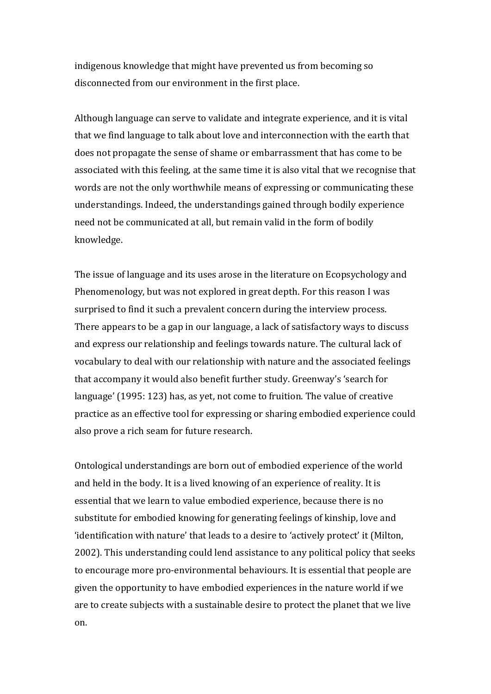indigenous knowledge that might have prevented us from becoming so disconnected from our environment in the first place.

Although language can serve to validate and integrate experience, and it is vital that we find language to talk about love and interconnection with the earth that does not propagate the sense of shame or embarrassment that has come to be associated with this feeling, at the same time it is also vital that we recognise that words are not the only worthwhile means of expressing or communicating these understandings. Indeed, the understandings gained through bodily experience need not be communicated at all, but remain valid in the form of bodily knowledge.

The issue of language and its uses arose in the literature on Ecopsychology and Phenomenology, but was not explored in great depth. For this reason I was surprised to find it such a prevalent concern during the interview process. There appears to be a gap in our language, a lack of satisfactory ways to discuss and express our relationship and feelings towards nature. The cultural lack of vocabulary to deal with our relationship with nature and the associated feelings that accompany it would also benefit further study. Greenway's 'search for language' (1995: 123) has, as yet, not come to fruition. The value of creative practice as an effective tool for expressing or sharing embodied experience could also prove a rich seam for future research.

Ontological understandings are born out of embodied experience of the world and held in the body. It is a lived knowing of an experience of reality. It is essential that we learn to value embodied experience, because there is no substitute for embodied knowing for generating feelings of kinship, love and 'identification with nature' that leads to a desire to 'actively protect' it (Milton, 2002). This understanding could lend assistance to any political policy that seeks to encourage more pro-environmental behaviours. It is essential that people are given the opportunity to have embodied experiences in the nature world if we are to create subjects with a sustainable desire to protect the planet that we live on.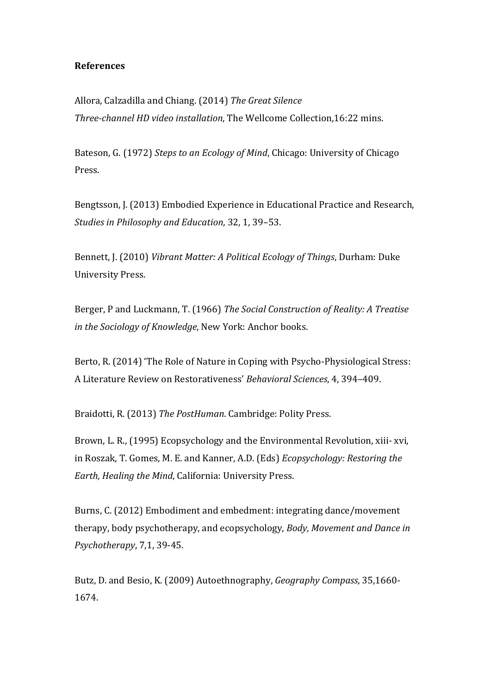# **References**

Allora, Calzadilla and Chiang. (2014) *The Great Silence Three-channel HD video installation*, The Wellcome Collection, 16:22 mins.

Bateson, G. (1972) *Steps to an Ecology of Mind*, Chicago: University of Chicago Press.

Bengtsson, J. (2013) Embodied Experience in Educational Practice and Research, *Studies in Philosophy and Education*, 32, 1, 39-53.

Bennett, I. (2010) *Vibrant Matter: A Political Ecology of Things*, Durham: Duke University Press.

Berger, P and Luckmann, T. (1966) *The Social Construction of Reality: A Treatise in the Sociology of Knowledge*, New York: Anchor books.

Berto, R. (2014) 'The Role of Nature in Coping with Psycho-Physiological Stress: A Literature Review on Restorativeness' *Behavioral Sciences*, 4, 394–409. 

Braidotti, R. (2013) *The PostHuman*. Cambridge: Polity Press.

Brown, L. R., (1995) Ecopsychology and the Environmental Revolution, xiii- xvi, in Roszak, T. Gomes, M. E. and Kanner, A.D. (Eds) *Ecopsychology: Restoring the Earth, Healing the Mind, California: University Press.* 

Burns, C. (2012) Embodiment and embedment: integrating dance/movement therapy, body psychotherapy, and ecopsychology, *Body, Movement and Dance in Psychotherapy*, 7,1, 39-45.

Butz, D. and Besio, K. (2009) Autoethnography, *Geography Compass*, 35,1660-1674.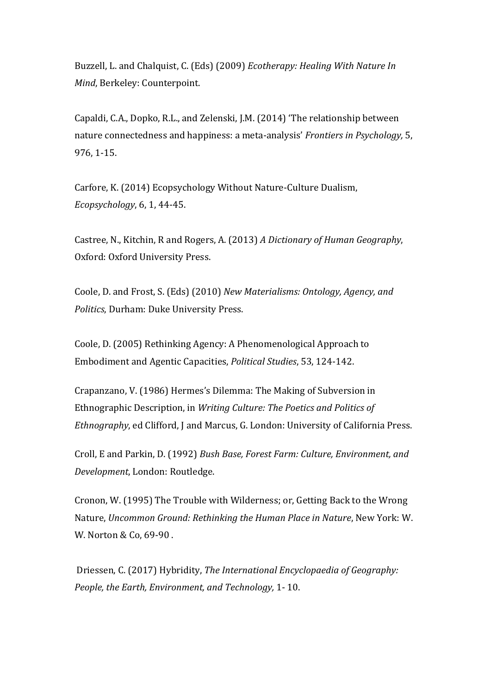Buzzell, L. and Chalquist, C. (Eds) (2009) *Ecotherapy: Healing With Nature In Mind*, Berkeley: Counterpoint.

Capaldi, C.A., Dopko, R.L., and Zelenski, J.M. (2014) 'The relationship between nature connectedness and happiness: a meta-analysis' *Frontiers in Psychology*, 5, 976, 1-15.

Carfore, K. (2014) Ecopsychology Without Nature-Culture Dualism, *Ecopsychology*, 6, 1, 44-45.

Castree, N., Kitchin, R and Rogers, A. (2013) A Dictionary of Human Geography, Oxford: Oxford University Press.

Coole, D. and Frost, S. (Eds) (2010) *New Materialisms: Ontology, Agency, and Politics*, Durham: Duke University Press.

Coole, D. (2005) Rethinking Agency: A Phenomenological Approach to Embodiment and Agentic Capacities, *Political Studies*, 53, 124-142.

Crapanzano, V. (1986) Hermes's Dilemma: The Making of Subversion in Ethnographic Description, in *Writing Culture: The Poetics and Politics of Ethnography*, ed Clifford, J and Marcus, G. London: University of California Press.

Croll, E and Parkin, D. (1992) *Bush Base, Forest Farm: Culture, Environment, and Development*, London: Routledge.

Cronon, W. (1995) The Trouble with Wilderness; or, Getting Back to the Wrong Nature, *Uncommon Ground: Rethinking the Human Place in Nature*, New York: W. W. Norton & Co, 69-90.

Driessen, C. (2017) Hybridity, *The International Encyclopaedia of Geography: People, the Earth, Environment, and Technology, 1-10.*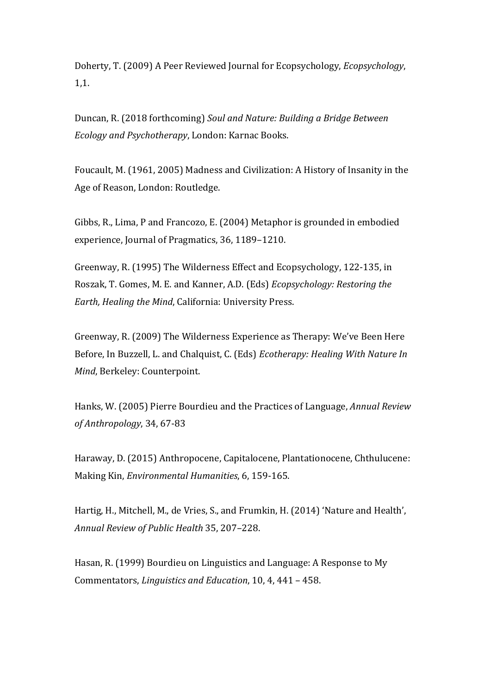Doherty, T. (2009) A Peer Reviewed Journal for Ecopsychology, *Ecopsychology*, 1,1.

Duncan, R. (2018 forthcoming) Soul and Nature: Building a Bridge Between *Ecology and Psychotherapy*, London: Karnac Books.

Foucault, M. (1961, 2005) Madness and Civilization: A History of Insanity in the Age of Reason, London: Routledge.

Gibbs, R., Lima, P and Francozo, E. (2004) Metaphor is grounded in embodied experience, Journal of Pragmatics, 36, 1189-1210.

Greenway, R. (1995) The Wilderness Effect and Ecopsychology, 122-135, in Roszak, T. Gomes, M. E. and Kanner, A.D. (Eds) *Ecopsychology: Restoring the Earth, Healing the Mind, California: University Press.* 

Greenway, R. (2009) The Wilderness Experience as Therapy: We've Been Here Before, In Buzzell, L. and Chalquist, C. (Eds) *Ecotherapy: Healing With Nature In Mind*, Berkeley: Counterpoint.

Hanks, W. (2005) Pierre Bourdieu and the Practices of Language, *Annual Review of Anthropology*, 34, 67-83

Haraway, D. (2015) Anthropocene, Capitalocene, Plantationocene, Chthulucene: Making Kin, *Environmental Humanities*, 6, 159-165.

Hartig, H., Mitchell, M., de Vries, S., and Frumkin, H. (2014) 'Nature and Health', *Annual Review of Public Health* 35, 207–228.

Hasan, R. (1999) Bourdieu on Linguistics and Language: A Response to My Commentators, *Linguistics and Education*, 10, 4, 441 – 458.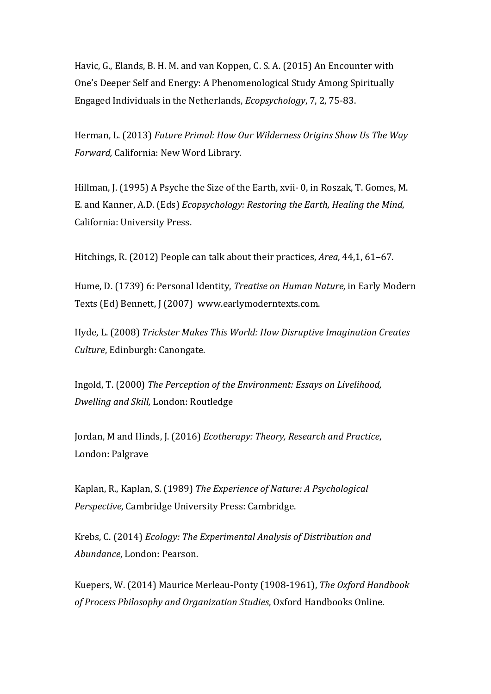Havic, G., Elands, B. H. M. and van Koppen, C. S. A. (2015) An Encounter with One's Deeper Self and Energy: A Phenomenological Study Among Spiritually Engaged Individuals in the Netherlands, *Ecopsychology*, 7, 2, 75-83.

Herman, L. (2013) *Future Primal: How Our Wilderness Origins Show Us The Way Forward,* California: New Word Library.

Hillman, J. (1995) A Psyche the Size of the Earth, xvii- 0, in Roszak, T. Gomes, M. E. and Kanner, A.D. (Eds) *Ecopsychology: Restoring the Earth, Healing the Mind,* California: University Press.

Hitchings, R. (2012) People can talk about their practices, *Area*, 44,1, 61–67.

Hume, D. (1739) 6: Personal Identity, *Treatise on Human Nature*, in Early Modern Texts (Ed) Bennett, J (2007) www.earlymoderntexts.com.

Hyde, L. (2008) *Trickster Makes This World: How Disruptive Imagination Creates Culture*, Edinburgh: Canongate.

Ingold, T. (2000) The Perception of the Environment: *Essays* on Livelihood, *Dwelling and Skill,* London: Routledge

Jordan, M and Hinds, J. (2016) *Ecotherapy: Theory, Research and Practice*, London: Palgrave

Kaplan, R., Kaplan, S. (1989) *The Experience of Nature: A Psychological Perspective*, Cambridge University Press: Cambridge.

Krebs, C. (2014) *Ecology: The Experimental Analysis of Distribution and Abundance*, London: Pearson.

Kuepers, W. (2014) Maurice Merleau-Ponty (1908-1961), *The Oxford Handbook* of Process Philosophy and Organization Studies, Oxford Handbooks Online.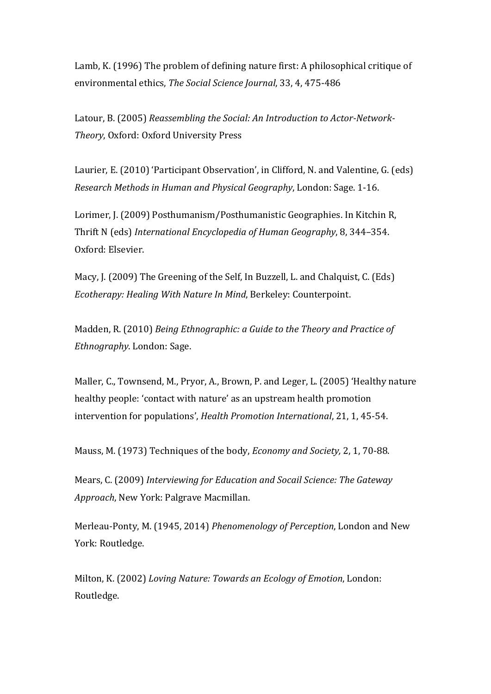Lamb, K. (1996) The problem of defining nature first: A philosophical critique of environmental ethics, *The Social Science Journal*, 33, 4, 475-486

Latour, B. (2005) *Reassembling the Social: An Introduction to Actor-Network-***Theory, Oxford: Oxford University Press** 

Laurier, E. (2010) 'Participant Observation', in Clifford, N. and Valentine, G. (eds) *Research Methods in Human and Physical Geography*, London: Sage. 1-16.

Lorimer, J. (2009) Posthumanism/Posthumanistic Geographies. In Kitchin R. Thrift N (eds) *International Encyclopedia of Human Geography*, 8, 344–354. Oxford: Elsevier.

Macy, I. (2009) The Greening of the Self. In Buzzell, L. and Chalquist, C. (Eds) *Ecotherapy: Healing With Nature In Mind. Berkeley: Counterpoint.* 

Madden, R. (2010) *Being Ethnographic: a Guide to the Theory and Practice of Ethnography*. London: Sage.

Maller, C., Townsend, M., Pryor, A., Brown, P. and Leger, L. (2005) 'Healthy nature healthy people: 'contact with nature' as an upstream health promotion intervention for populations', *Health Promotion International*, 21, 1, 45-54.

Mauss, M. (1973) Techniques of the body, *Economy and Society*, 2, 1, 70-88.

Mears, C. (2009) Interviewing for Education and Socail Science: The Gateway *Approach*, New York: Palgrave Macmillan.

Merleau-Ponty, M. (1945, 2014) *Phenomenology of Perception*, London and New York: Routledge.

Milton, K. (2002) *Loving Nature: Towards an Ecology of Emotion*, London: Routledge.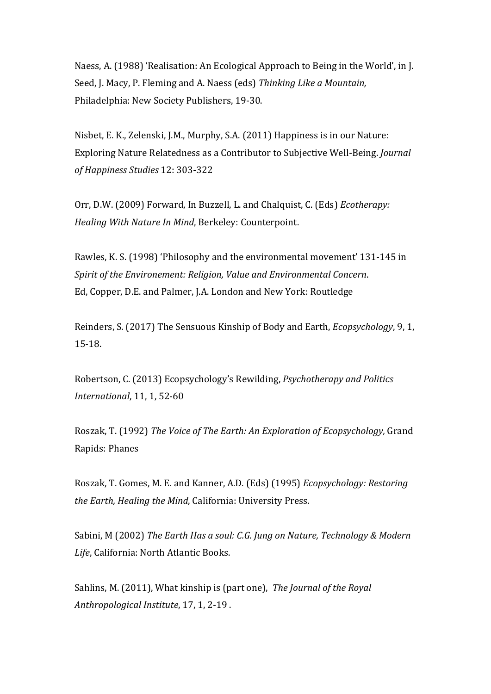Naess, A. (1988) 'Realisation: An Ecological Approach to Being in the World', in J. Seed, J. Macy, P. Fleming and A. Naess (eds) Thinking Like a Mountain, Philadelphia: New Society Publishers, 19-30.

Nisbet, E. K., Zelenski, J.M., Murphy, S.A. (2011) Happiness is in our Nature: Exploring Nature Relatedness as a Contributor to Subjective Well-Being. *Journal of Happiness Studies* 12: 303-322

Orr, D.W. (2009) Forward, In Buzzell, L. and Chalquist, C. (Eds) *Ecotherapy: Healing With Nature In Mind, Berkeley: Counterpoint.* 

Rawles, K. S. (1998) 'Philosophy and the environmental movement' 131-145 in *Spirit of the Environement: Religion, Value and Environmental Concern.* Ed, Copper, D.E. and Palmer, J.A. London and New York: Routledge

Reinders, S. (2017) The Sensuous Kinship of Body and Earth, *Ecopsychology*, 9, 1, 15-18.

Robertson, C. (2013) Ecopsychology's Rewilding, *Psychotherapy and Politics International*, 11, 1, 52-60

Roszak, T. (1992) The Voice of The Earth: An Exploration of Ecopsychology, Grand Rapids: Phanes

Roszak, T. Gomes, M. E. and Kanner, A.D. (Eds) (1995) *Ecopsychology: Restoring the Earth, Healing the Mind, California: University Press.* 

Sabini, M (2002) *The Earth Has a soul: C.G. Jung on Nature, Technology & Modern Life*, California: North Atlantic Books.

Sahlins, M. (2011), What kinship is (part one), The Journal of the Royal Anthropological Institute, 17, 1, 2-19.